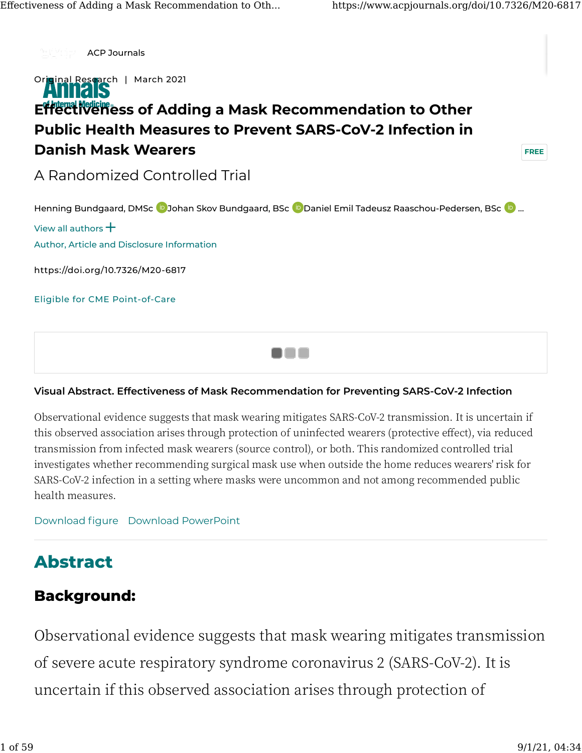

#### **Visual Abstract. Effectiveness of Mask Recommendation for Preventing SARS-CoV-2 Infection**

Observational evidence suggests that mask wearing mitigates SARS-CoV-� transmission. It is uncertain if this observed association arises through protection of uninfected wearers (protective effect), via reduced transmission from infected mask wearers (source control), or both. This randomized controlled trial investigates whether recommending surgical mask use when outside the home reduces wearers' risk for SARS-CoV-2 infection in a setting where masks were uncommon and not among recommended public health measures.

[Download](https://www.acpjournals.org/na101/home/literatum/publisher/acp/journals/content/aim/2021/aim.2021.174.issue-3/m20-6817/20210316/images/large/aime202103160-m206817_visual-abstract.jpeg) figure [Download PowerPoint](https://www.acpjournals.org/action/downloadFigures?doi=10.7326/M20-6817&id=fva1-M206817)

# **[A](https://www.acpjournals.org/doi/10.7326/M20-6817#)bstract**

# **Background:**

Observational evidence suggests that mask wearing mitigates transmission of severe acute respiratory syndrome coronavirus 2 (SARS-CoV-2). It is uncertain if this observed association arises through protection of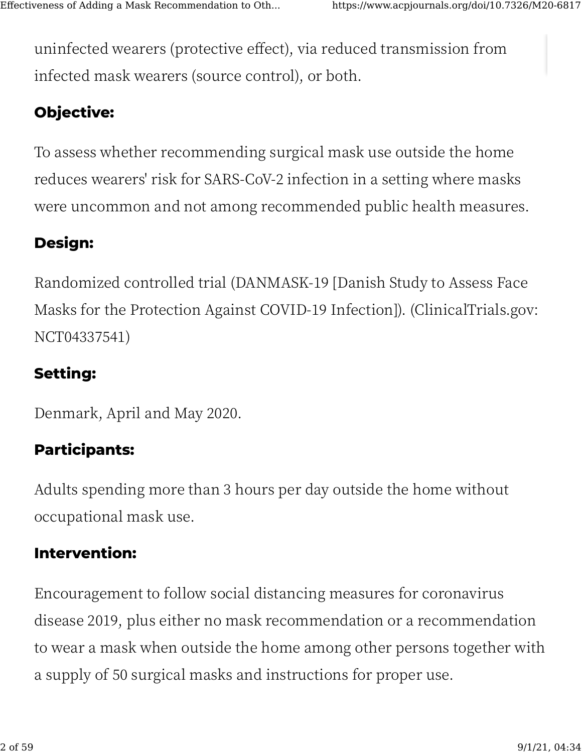[un](https://www.acpjournals.org/doi/10.7326/M20-6817#)infected wearers (protective effect), via reduced transmission from infected mask wearers (source control), or both.

# **[O](https://www.acpjournals.org/doi/10.7326/M20-6817#)bjective:**

To assess whether recommending surgical mask use outside the home reduces wearers' risk for SARS-CoV-2 infection in a setting where masks were uncommon and not among recommended public health measures.

# **Design:**

Randomized controlled trial (DANMASK-�� [Danish Study to Assess Face Masks for the Protection Against COVID-19 Infection]). (ClinicalTrials.gov: NCT04337541)

# **Setting:**

Denmark, April and May 2020.

# **Participants:**

Adults spending more than 3 hours per day outside the home without occupational mask use.

# **Intervention:**

Encouragement to follow social distancing measures for coronavirus disease 2019, plus either no mask recommendation or a recommendation to wear a mask when outside the home among other persons together with a supply of 50 surgical masks and instructions for proper use.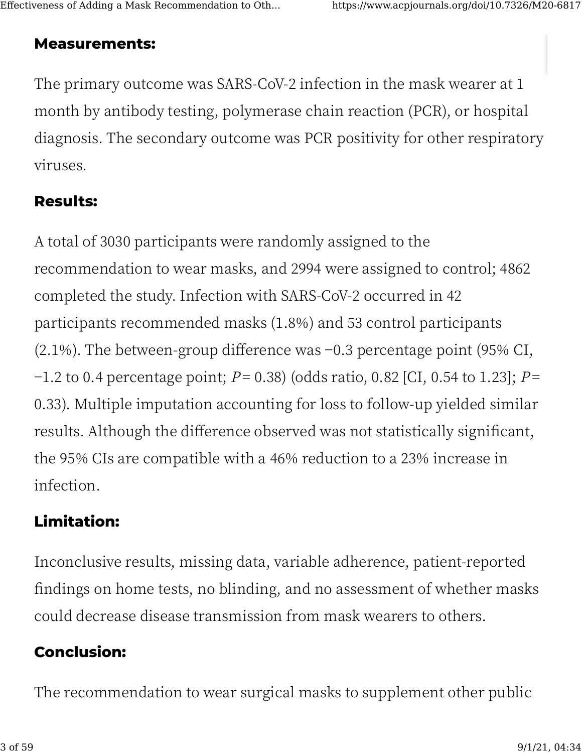# **Measurements:**

The primary outcome was SARS-CoV-2 infection in the mask wearer at 1 month by antibody testing, polymerase chain reaction (PCR), or hospital diagnosis. The secondary outcome was PCR positivity for other respiratory viruses.

# **Results:**

A total of 3030 participants were randomly assigned to the recommendation to wear masks, and 2994 were assigned to control; 4862 completed the study. Infection with SARS-CoV-2 occurred in 42 participants recommended masks (1.8%) and 53 control participants  $(2.1\%)$ . The between-group difference was -0.3 percentage point (95% CI, -1.2 to 0.4 percentage point;  $P = 0.38$ ) (odds ratio, 0.82 [CI, 0.54 to 1.23];  $P =$ 0.33). Multiple imputation accounting for loss to follow-up yielded similar results. Although the difference observed was not statistically significant, the 95% CIs are compatible with a 46% reduction to a 23% increase in infection.

# **Limitation:**

Inconclusive results, missing data, variable adherence, patient-reported findings on home tests, no blinding, and no assessment of whether masks could decrease disease transmission from mask wearers to others.

# **Conclusion:**

The recommendation to wear surgical masks to supplement other public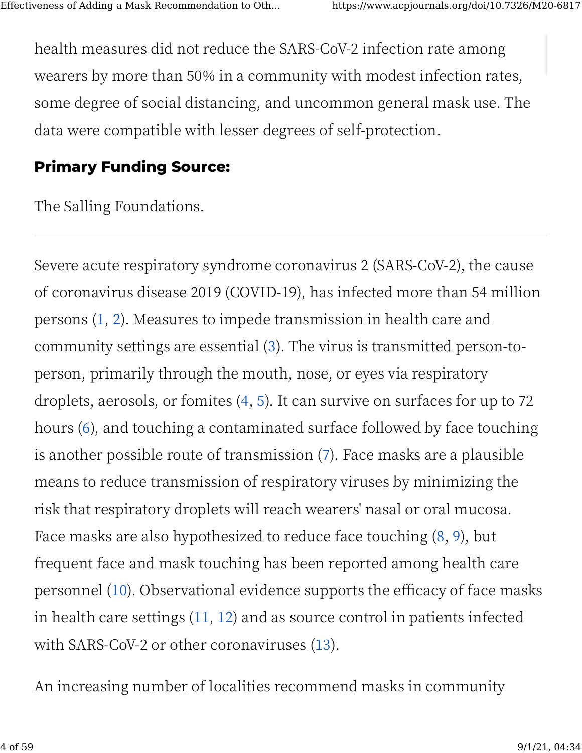[he](https://www.acpjournals.org/doi/10.7326/M20-6817#)alth measures did not reduce the SARS-CoV-2 infection rate among wearers by more than 50% in a community with modest infection rates, some degree of social distancing, and uncommon general mask use. The data were compatible with lesser degrees of self-protection.

# **[Pr](https://www.acpjournals.org/doi/10.7326/M20-6817#)imary Funding Source:**

The Salling Foundations.

Severe acute respiratory syndrome coronavirus 2 (SARS-CoV-2), the cause of coronavirus disease 2019 (COVID-19), has infected more than 54 million persons (1, 2). Measures to impede transmission in health care and community settings are essential ([�](https://www.acpjournals.org/doi/10.7326/M20-6817#r3-M206817)). The virus is transmitted person-toperson, primarily through the mouth, nose, or eyes via respiratory droplets, aerosols, or fomites  $(4, 5)$ . It can survive on surfaces for up to 72 hours ([�](https://www.acpjournals.org/doi/10.7326/M20-6817#r6-M206817)), and touching a contaminated surface followed by face touching is another possible route of transmission  $(7)$ . Face masks are a plausible means to reduce transmission of respiratory viruses by minimizing the risk that respiratory droplets will reach wearers' nasal or oral mucosa. Face masks are also hypothesized to reduce face touching  $(8, 9)$ , but frequent face and mask touching has been reported among health care personnel  $(10)$ . Observational evidence supports the efficacy of face masks in health care settings  $(11, 12)$  and as source control in patients infected with SARS-CoV-2 or other coronaviruses (13).

An increasing number of localities recommend masks in community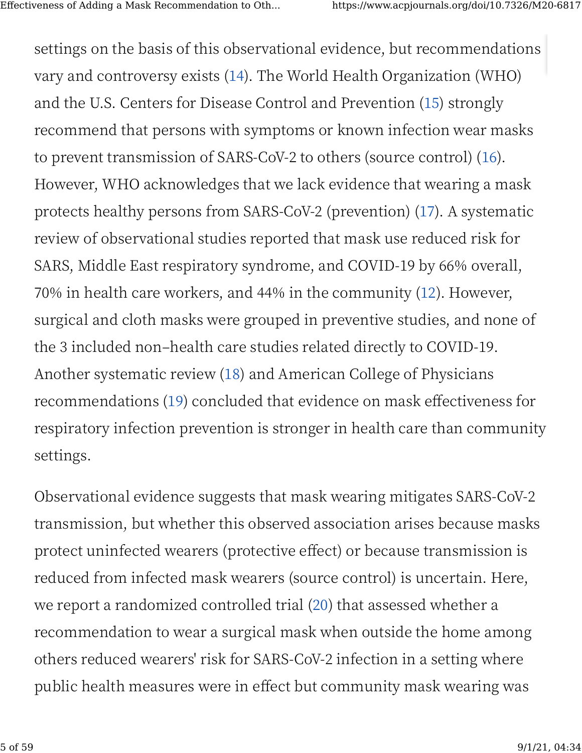[se](https://www.acpjournals.org/doi/10.7326/M20-6817#)ttings on the basis of this observational evidence, but recommendations vary and controversy exists (14). The World Health Organization (WHO) and the U.S. Centers for Disease Control and Prevention (15) strongly recommend that persons with symptoms or known infection wear masks to prevent transmission of SARS-CoV-2 to others (source control) (16). However, WHO acknowledges that we lack evidence that wearing a mask protects healthy persons from SARS-CoV-2 (prevention) (17). A systematic review of observational studies reported that mask use reduced risk for SARS, Middle East respiratory syndrome, and COVID-19 by 66% overall,  $70\%$  in health care workers, and 44% in the community (12). However, surgical and cloth masks were grouped in preventive studies, and none of the 3 included non-health care studies related directly to COVID-19. Another systematic review (18) and American College of Physicians recommendations (19) concluded that evidence on mask effectiveness for respiratory infection prevention is stronger in health care than community settings.

Observational evidence suggests that mask wearing mitigates SARS-CoV-� transmission, but whether this observed association arises because masks protect uninfected wearers (protective effect) or because transmission is reduced from infected mask wearers (source control) is uncertain. Here, we report a randomized controlled trial (20) that assessed whether a recommendation to wear a surgical mask when outside the home among [ot](https://www.acpjournals.org/doi/10.7326/M20-6817#)hers reduced wearers' risk for SARS-CoV-� infection in a setting where public health measures were in effect but community mask wearing was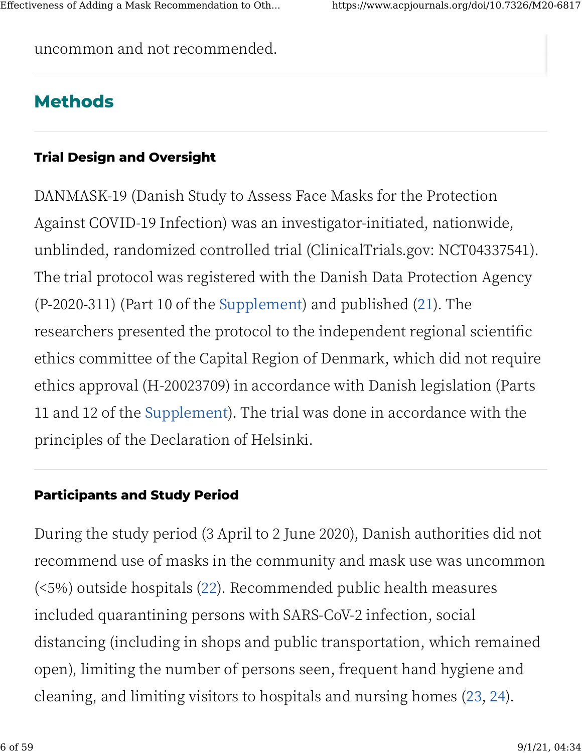uncommon and not recommended.

# **Methods**

# **Trial Design and Oversight**

DANMASK-19 (Danish Study to Assess Face Masks for the Protection Against COVID-19 Infection) was an investigator-initiated, nationwide, unblinded, randomized controlled trial (ClinicalTrials.gov: NCT04337541). The trial protocol was registered with the Danish Data Protection Agency (P-2020-311) (Part 10 of the Supplement) and published (21). The researchers presented the protocol to the independent regional scientific ethics committee of the Capital Region of Denmark, which did not require ethics approval (H-20023709) in accordance with Danish legislation (Parts 11 and 12 of the Supplement). The trial was done in accordance with the principles of the Declaration of Helsinki.

# **Participants and Study Period**

During the study period (3 April to 2 June 2020), Danish authorities did not recommend use of masks in the community and mask use was uncommon (<5%) outside hospitals (22). Recommended public health measures included quarantining persons with SARS-CoV-2 infection, social distancing (including in shops and public transportation, which remained open), limiting the number of persons seen, frequent hand hygiene and cleaning, and limiting visitors to hospitals and nursing homes (23, 24).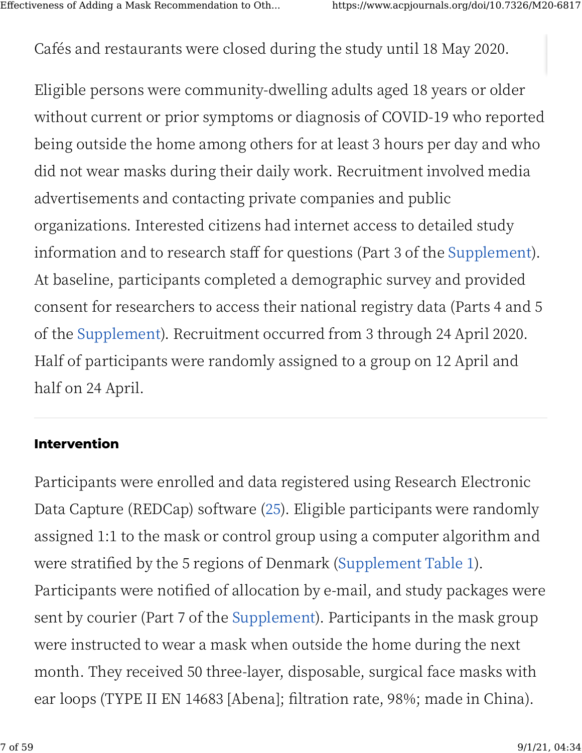[Ca](https://www.acpjournals.org/doi/10.7326/M20-6817#)fés and restaurants were closed during the study until 18 May 2020.

Eligible persons were community-dwelling adults aged 18 years or older without current or prior symptoms or diagnosis of COVID-19 who reported being outside the home among others for at least � hours per day and who did not wear masks during their daily work. Recruitment involved media advertisements and contacting private companies and public organizations. Interested citizens had internet access to detailed study information and to research staff for questions (Part 3 of the [Supplement](https://www.acpjournals.org/doi/suppl/10.7326/M20-6817/suppl_file/M20-6817_Supplement.pdf)). At baseline, participants completed a demographic survey and provided consent for researchers to access their national registry data (Parts 4 and 5 of the [Supplement](https://www.acpjournals.org/doi/suppl/10.7326/M20-6817/suppl_file/M20-6817_Supplement.pdf)). Recruitment occurred from 3 through 24 April 2020. Half of participants were randomly assigned to a group on 12 April and half on 24 April.

# **Intervention**

Participants were enrolled and data registered using Research Electronic Data Capture (REDCap) software (25). Eligible participants were randomly assigned 1:1 to the mask or control group using a computer algorithm and were stratified by the 5 regions of Denmark (Supplement Table 1). Participants were notified of allocation by e-mail, and study packages were sent by courier (Part 7 of the [Supplement](https://www.acpjournals.org/doi/suppl/10.7326/M20-6817/suppl_file/M20-6817_Supplement.pdf)). Participants in the mask group [w](https://www.acpjournals.org/doi/10.7326/M20-6817#)ere instructed to wear a mask when outside the home during the next month. They received 50 three-layer, disposable, surgical face masks with ear loops (TYPE II EN 14683 [Abena]; filtration rate, 98%; made in China).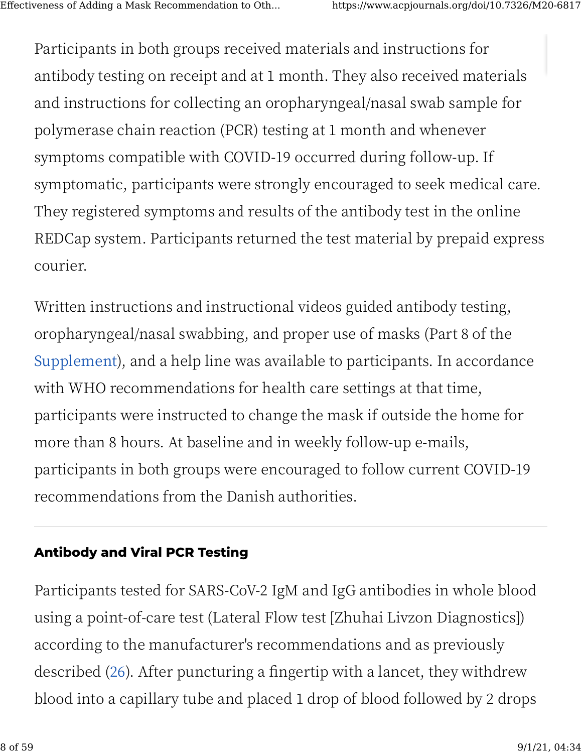[Pa](https://www.acpjournals.org/doi/10.7326/M20-6817#)rticipants in both groups received materials and instructions for antibody testing on receipt and at 1 month. They also received materials and instructions for collecting an oropharyngeal/nasal swab sample for polymerase chain reaction (PCR) testing at � month and whenever symptoms compatible with COVID-19 occurred during follow-up. If symptomatic, participants were strongly encouraged to seek medical care. They registered symptoms and results of the antibody test in the online REDCap system. Participants returned the test material by prepaid express courier.

Written instructions and instructional videos guided antibody testing, oropharyngeal/nasal swabbing, and proper use of masks (Part 8 of the [Supplement](https://www.acpjournals.org/doi/suppl/10.7326/M20-6817/suppl_file/M20-6817_Supplement.pdf)), and a help line was available to participants. In accordance with WHO recommendations for health care settings at that time, participants were instructed to change the mask if outside the home for more than � hours. At baseline and in weekly follow-up e-mails, participants in both groups were encouraged to follow current COVID-19 recommendations from the Danish authorities.

# **Antibody and Viral PCR Testing**

Participants tested for SARS-CoV-2 IgM and IgG antibodies in whole blood using a point-of-care test (Lateral Flow test [Zhuhai Livzon Diagnostics]) [ac](https://www.acpjournals.org/doi/10.7326/M20-6817#)cording to the manufacturer's recommendations and as previously described (26). After puncturing a fingertip with a lancet, they withdrew blood into a capillary tube and placed 1 drop of blood followed by 2 drops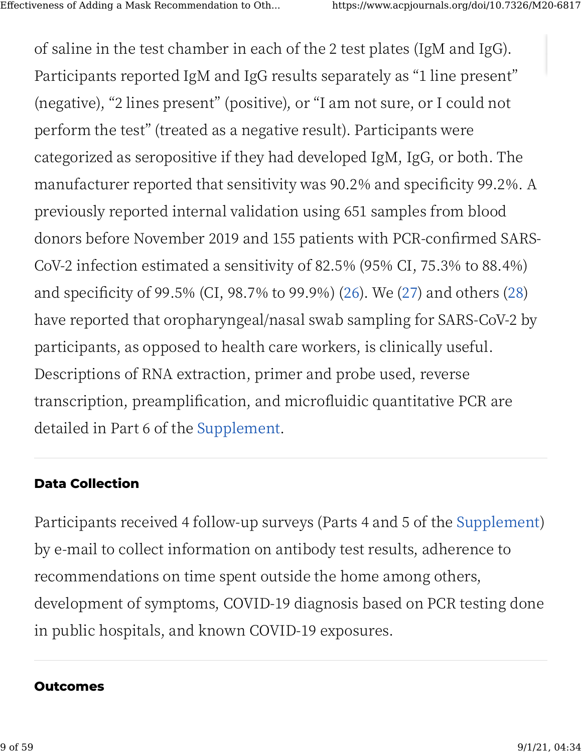of saline in the test chamber in each of the 2 test plates (IgM and IgG). Participants reported IgM and IgG results separately as "1 line present" (negative), "2 lines present" (positive), or "I am not sure, or I could not perform the test" (treated as a negative result). Participants were categorized as seropositive if they had developed IgM, IgG, or both. The manufacturer reported that sensitivity was 90.2% and specificity 99.2%. A previously reported internal validation using 651 samples from blood donors before November 2019 and 155 patients with PCR-confirmed SARS-CoV-2 infection estimated a sensitivity of 82.5% (95% CI, 75.3% to 88.4%) and specificity of 99.5% (CI, 98.7% to 99.9%) (26). We (27) and others (28) have reported that oropharyngeal/nasal swab sampling for SARS-CoV-2 by participants, as opposed to health care workers, is clinically useful. Descriptions of RNA extraction, primer and probe used, reverse transcription, preamplification, and microfluidic quantitative PCR are detailed in Part 6 of the Supplement.

# **Data Collection**

Participants received 4 follow-up surveys (Parts 4 and 5 of the Supplement) by e-mail to collect information on antibody test results, adherence to recommendations on time spent outside the home among others, development of symptoms, COVID-19 diagnosis based on PCR testing done in public hospitals, and known COVID-19 exposures.

# **Outcomes**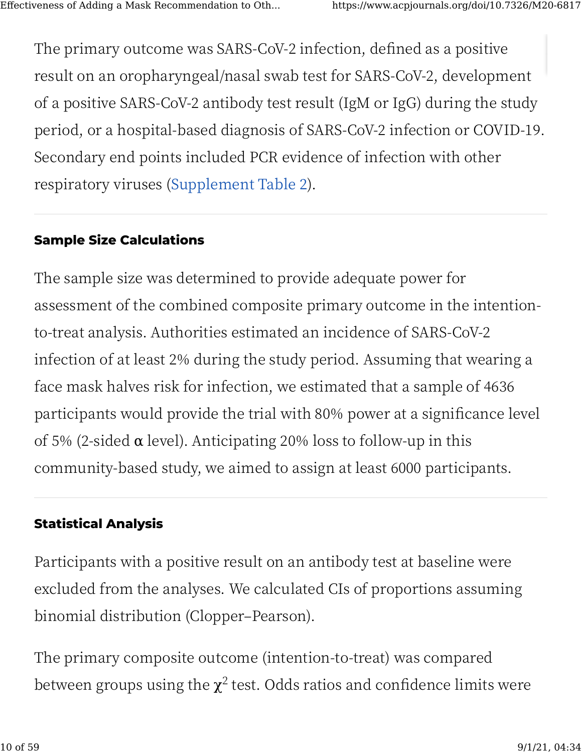[Th](https://www.acpjournals.org/doi/10.7326/M20-6817#)e primary outcome was SARS-CoV-2 infection, defined as a positive result on an oropharyngeal/nasal swab test for SARS-CoV-�, development of a positive SARS-CoV-2 antibody test result (IgM or IgG) during the study period, or a hospital-based diagnosis of SARS-CoV-2 infection or COVID-19. Secondary end points included PCR evidence of infection with other respiratory viruses (Supplement Table 2).

# **Sample Size Calculations**

The sample size was determined to provide adequate power for assessment of the combined composite primary outcome in the intentionto-treat analysis. Authorities estimated an incidence of SARS-CoV-� infection of at least 2% during the study period. Assuming that wearing a face mask halves risk for infection, we estimated that a sample of 4636 participants would provide the trial with 80% power at a significance level of 5% (2-sided  $\alpha$  level). Anticipating 20% loss to follow-up in this community-based study, we aimed to assign at least 6000 participants.

# **Statistical Analysis**

Participants with a positive result on an antibody test at baseline were excluded from the analyses. We calculated CIs of proportions assuming binomial distribution (Clopper–Pearson).

[Th](https://www.acpjournals.org/doi/10.7326/M20-6817#)e primary composite outcome (intention-to-treat) was compared between groups using the  $\chi^2$  test. Odds ratios and confidence limits were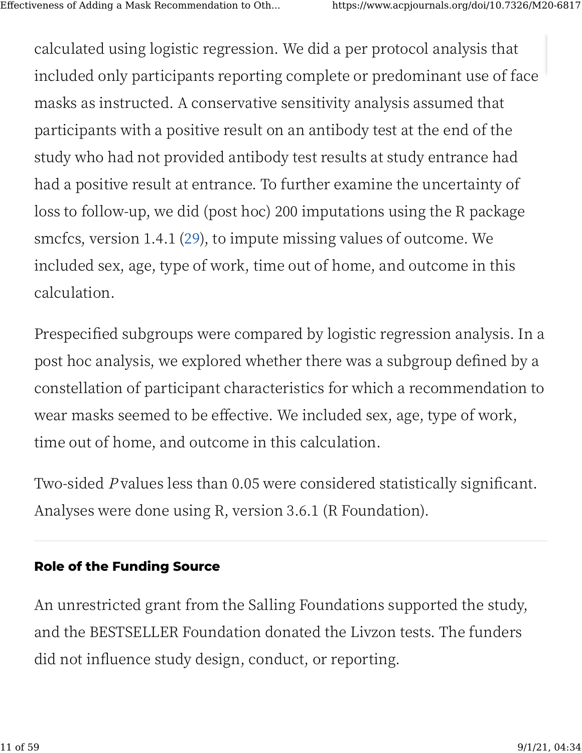[ca](https://www.acpjournals.org/doi/10.7326/M20-6817#)lculated using logistic regression. We did a per protocol analysis that included only participants reporting complete or predominant use of face masks as instructed. A conservative sensitivity analysis assumed that participants with a positive result on an antibody test at the end of the study who had not provided antibody test results at study entrance had had a positive result at entrance. To further examine the uncertainty of loss to follow-up, we did (post hoc) 200 imputations using the R package smcfcs, version 1.4.1 (29), to impute missing values of outcome. We included sex, age, type of work, time out of home, and outcome in this calculation.

Prespecified subgroups were compared by logistic regression analysis. In a post hoc analysis, we explored whether there was a subgroup de�ned by a constellation of participant characteristics for which a recommendation to wear masks seemed to be effective. We included sex, age, type of work, time out of home, and outcome in this calculation.

Two-sided P values less than 0.05 were considered statistically significant. Analyses were done using R, version 3.6.1 (R Foundation).

# **Role of the Funding Source**

An unrestricted grant from the Salling Foundations supported the study, [an](https://www.acpjournals.org/doi/10.7326/M20-6817#)d the BESTSELLER Foundation donated the Livzon tests. The funders did not influence study design, conduct, or reporting.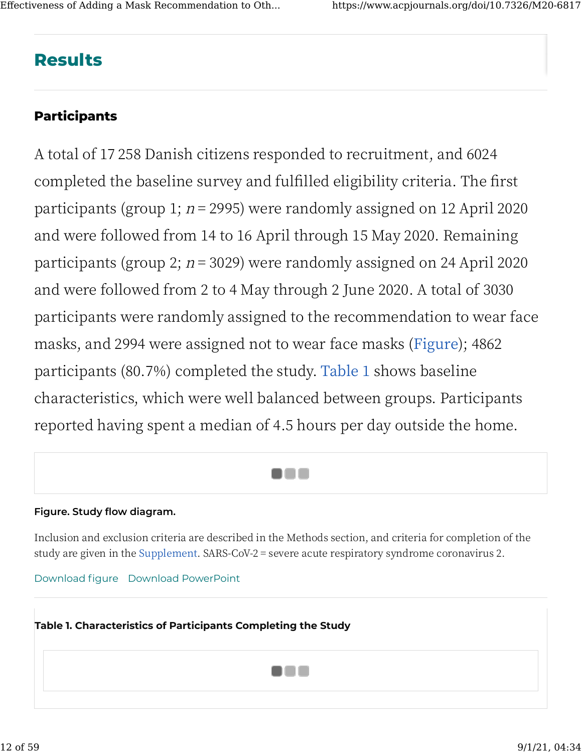# **Results**

# **Participants**

A total of 17 258 Danish citizens responded to recruitment, and 6024 completed the baseline survey and fulfilled eligibility criteria. The first participants (group 1;  $n = 2995$ ) were randomly assigned on 12 April 2020 and were followed from 14 to 16 April through 15 May 2020. Remaining participants (group 2;  $n = 3029$ ) were randomly assigned on 24 April 2020 and were followed from 2 to 4 May through 2 June 2020. A total of 3030 participants were randomly assigned to the recommendation to wear face masks, and 2994 were assigned not to wear face masks (Figure); 4862 participants (80.7%) completed the study. Table 1 shows baseline characteristics, which were well balanced between groups. Participants reported having spent a median of 4.5 hours per day outside the home.



#### Figure. Study flow diagram.

Inclusion and exclusion criteria are described in the Methods section, and criteria for completion of the study are given in the Supplement. SARS-CoV-2 = severe acute respiratory syndrome coronavirus 2.

Download figure Download PowerPoint

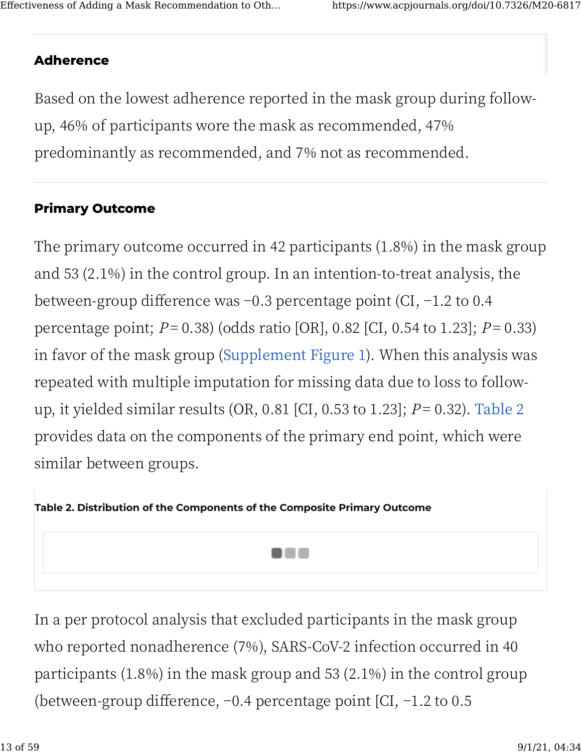# **Adherence**

Based on the lowest adherence reported in the mask group during followup, 46% of participants wore the mask as recommended, 47% predominantly as recommended, and 7% not as recommended.

# **Primary Outcome**

The primary outcome occurred in 42 participants (1.8%) in the mask group and 53  $(2.1\%)$  in the control group. In an intention-to-treat analysis, the between-group difference was -0.3 percentage point (CI, -1.2 to 0.4 percentage point;  $P = 0.38$ ) (odds ratio [OR], 0.82 [CI, 0.54 to 1.23];  $P = 0.33$ ) in favor of the mask group (Supplement Figure 1). When this analysis was repeated with multiple imputation for missing data due to loss to followup, it yielded similar results (OR, 0.81 [CI, 0.53 to 1.23];  $P = 0.32$ ). Table 2 provides data on the components of the primary end point, which were similar between groups.



In a per protocol analysis that excluded participants in the mask group who reported nonadherence (7%), SARS-CoV-2 infection occurred in 40 participants  $(1.8\%)$  in the mask group and 53  $(2.1\%)$  in the control group (between-group difference,  $-0.4$  percentage point [CI,  $-1.2$  to 0.5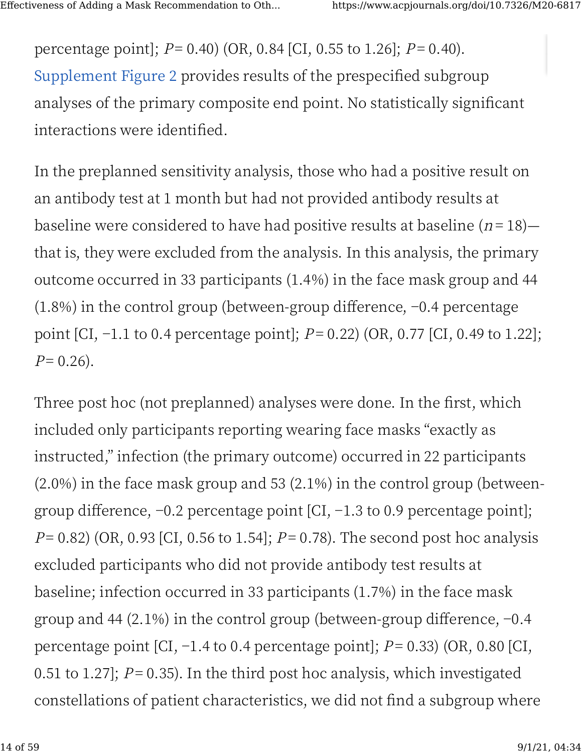percentage point];  $P = 0.40$  (OR, 0.84 [CI, 0.55 to 1.26];  $P = 0.40$ ). Supplement Figure 2 provides results of the prespecified subgroup analyses of the primary composite end point. No statistically significant interactions were identified.

In the preplanned sensitivity analysis, those who had a positive result on an antibody test at 1 month but had not provided antibody results at baseline were considered to have had positive results at baseline  $(n=18)$  that is, they were excluded from the analysis. In this analysis, the primary outcome occurred in 33 participants (1.4%) in the face mask group and 44  $(1.8\%)$  in the control group (between-group difference,  $-0.4$  percentage point [CI,  $-1.1$  to 0.4 percentage point];  $P = 0.22$ ) (OR, 0.77 [CI, 0.49 to 1.22];  $P=0.26$ ).

Three post hoc (not preplanned) analyses were done. In the first, which included only participants reporting wearing face masks "exactly as instructed," infection (the primary outcome) occurred in 22 participants  $(2.0\%)$  in the face mask group and 53  $(2.1\%)$  in the control group (betweengroup difference,  $-0.2$  percentage point [CI,  $-1.3$  to 0.9 percentage point];  $P = 0.82$ ) (OR, 0.93 [CI, 0.56 to 1.54];  $P = 0.78$ ). The second post hoc analysis excluded participants who did not provide antibody test results at baseline; infection occurred in 33 participants  $(1.7%)$  in the face mask group and 44 (2.1%) in the control group (between-group difference,  $-0.4$ percentage point [CI,  $-1.4$  to 0.4 percentage point];  $P = 0.33$  (OR, 0.80 [CI, 0.51 to 1.27];  $P = 0.35$ ). In the third post hoc analysis, which investigated constellations of patient characteristics, we did not find a subgroup where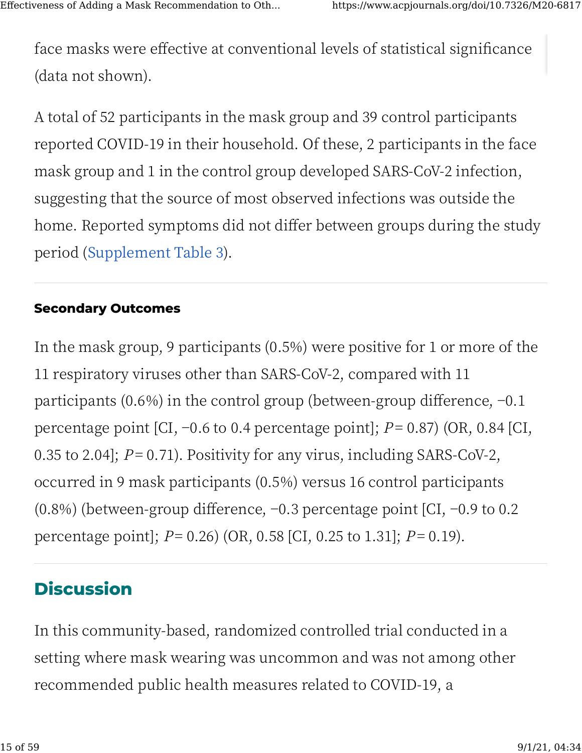face masks were effective at conventional levels of statistical significance (data not shown).

A total of 52 participants in the mask group and 39 control participants reported COVID-19 in their household. Of these, 2 participants in the face mask group and 1 in the control group developed SARS-CoV-2 infection, suggesting that the source of most observed infections was outside the home. Reported symptoms did not differ between groups during the study period (Supplement Table 3).

# **Secondary Outcomes**

In the mask group, 9 participants  $(0.5%)$  were positive for 1 or more of the 11 respiratory viruses other than SARS-CoV-2, compared with 11 participants  $(0.6\%)$  in the control group (between-group difference,  $-0.1$ ) percentage point [CI,  $-0.6$  to 0.4 percentage point];  $P = 0.87$ ) (OR, 0.84 [CI, 0.35 to 2.04];  $P = 0.71$ ). Positivity for any virus, including SARS-CoV-2, occurred in 9 mask participants (0.5%) versus 16 control participants (0.8%) (between-group difference,  $-0.3$  percentage point [CI,  $-0.9$  to 0.2 percentage point];  $P = 0.26$  (OR, 0.58 [CI, 0.25 to 1.31];  $P = 0.19$ ).

# **Discussion**

In this community-based, randomized controlled trial conducted in a setting where mask wearing was uncommon and was not among other recommended public health measures related to COVID-19, a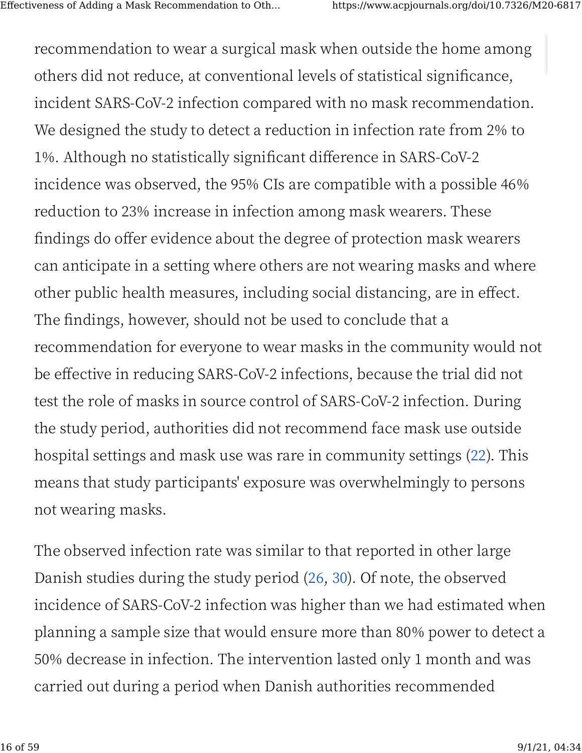[re](https://www.acpjournals.org/doi/10.7326/M20-6817#)commendation to wear a surgical mask when outside the home among others did not reduce, at conventional levels of statistical significance, incident SARS-CoV-2 infection compared with no mask recommendation. We designed the study to detect a reduction in infection rate from 2% to 1%. Although no statistically significant difference in SARS-CoV-2 incidence was observed, the 95% CIs are compatible with a possible 46% reduction to 23% increase in infection among mask wearers. These findings do offer evidence about the degree of protection mask wearers can anticipate in a setting where others are not wearing masks and where other public health measures, including social distancing, are in effect. The findings, however, should not be used to conclude that a recommendation for everyone to wear masks in the community would not be effective in reducing SARS-CoV-2 infections, because the trial did not test the role of masks in source control of SARS-CoV-2 infection. During the study period, authorities did not recommend face mask use outside hospital settings and mask use was rare in community settings (22). This [m](https://www.acpjournals.org/doi/10.7326/M20-6817#)eans that study participants' exposure was overwhelmingly to persons not wearing masks.

The observed infection rate was similar to that reported in other large Danish studies during the study period (26, 30). Of note, the observed incidence of SARS-CoV-2 infection was higher than we had estimated when planning a sample size that would ensure more than 80% power to detect a 50% decrease in infection. The intervention lasted only 1 month and was carried out during a period when Danish authorities recommended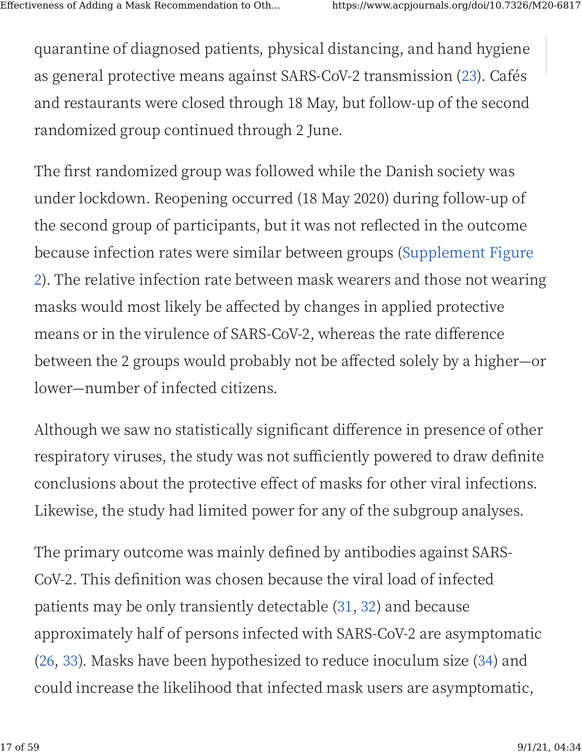[qu](https://www.acpjournals.org/doi/10.7326/M20-6817#)arantine of diagnosed patients, physical distancing, and hand hygiene as general protective means against SARS-CoV-2 transmission (23). Cafés and restaurants were closed through 18 May, but follow-up of the second randomized group continued through 2 June.

The first randomized group was followed while the Danish society was under lockdown. Reopening occurred (18 May 2020) during follow-up of the second group of participants, but it was not reflected in the outcome because infection rates were similar between groups ([Supplement Figure](https://www.acpjournals.org/doi/suppl/10.7326/M20-6817/suppl_file/M20-6817_Supplement.pdf) [�](https://www.acpjournals.org/doi/suppl/10.7326/M20-6817/suppl_file/M20-6817_Supplement.pdf)). The relative infection rate between mask wearers and those not wearing masks would most likely be affected by changes in applied protective means or in the virulence of SARS-CoV-2, whereas the rate difference between the 2 groups would probably not be affected solely by a higher—or lower—number of infected citizens.

Although we saw no statistically significant difference in presence of other respiratory viruses, the study was not sufficiently powered to draw definite conclusions about the protective e�ect of masks for other viral infections. Likewise, the study had limited power for any of the subgroup analyses.

The primary outcome was mainly defined by antibodies against SARS-CoV-2. This definition was chosen because the viral load of infected patients may be only transiently detectable  $(31, 32)$  and because [ap](https://www.acpjournals.org/doi/10.7326/M20-6817#)proximately half of persons infected with SARS-CoV-� are asymptomatic (26, 33). Masks have been hypothesized to reduce inoculum size (34) and could increase the likelihood that infected mask users are asymptomatic,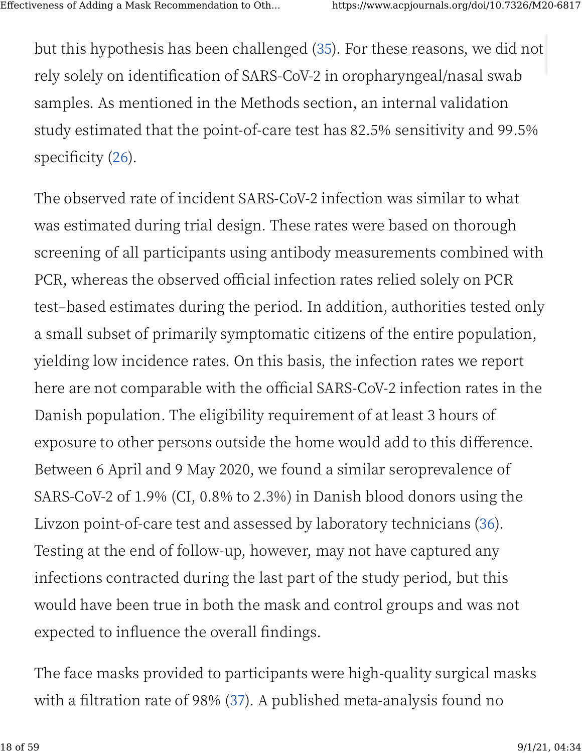[bu](https://www.acpjournals.org/doi/10.7326/M20-6817#)t this hypothesis has been challenged (35). For these reasons, we did not rely solely on identification of SARS-CoV-2 in oropharyngeal/nasal swab samples. As mentioned in the Methods section, an internal validation study estimated that the point-of-care test has 82.5% sensitivity and 99.5% specificity  $(26)$ .

The observed rate of incident SARS-CoV-2 infection was similar to what was estimated during trial design. These rates were based on thorough screening of all participants using antibody measurements combined with PCR, whereas the observed official infection rates relied solely on PCR test–based estimates during the period. In addition, authorities tested only a small subset of primarily symptomatic citizens of the entire population, yielding low incidence rates. On this basis, the infection rates we report here are not comparable with the official SARS-CoV-2 infection rates in the Danish population. The eligibility requirement of at least � hours of exposure to other persons outside the home would add to this difference. Between 6 April and 9 May 2020, we found a similar seroprevalence of SARS-CoV-2 of 1.9% (CI, 0.8% to 2.3%) in Danish blood donors using the Livzon point-of-care test and assessed by laboratory technicians (36). Testing at the end of follow-up, however, may not have captured any infections contracted during the last part of the study period, but this would have been true in both the mask and control groups and was not [ex](https://www.acpjournals.org/doi/10.7326/M20-6817#)pected to influence the overall findings.

The face masks provided to participants were high-quality surgical masks with a filtration rate of 98% (37). A published meta-analysis found no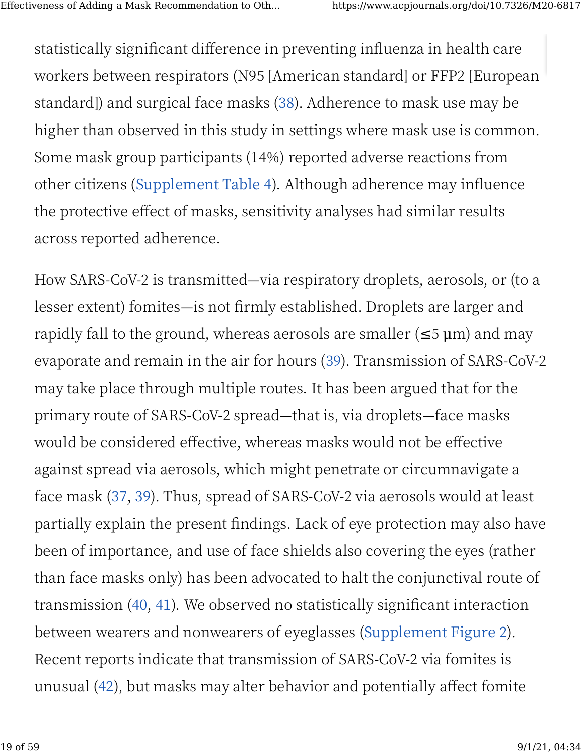[st](https://www.acpjournals.org/doi/10.7326/M20-6817#)atistically significant difference in preventing influenza in health care workers between respirators (N95 [American standard] or FFP2 [European standard]) and surgical face masks (38). Adherence to mask use may be higher than observed in this study in settings where mask use is common. Some mask group participants (14%) reported adverse reactions from other citizens ([Supplement Table �](https://www.acpjournals.org/doi/suppl/10.7326/M20-6817/suppl_file/M20-6817_Supplement.pdf)). Although adherence may in�uence the protective effect of masks, sensitivity analyses had similar results across reported adherence.

How SARS-CoV-� is transmitted—via respiratory droplets, aerosols, or (to a lesser extent) fomites—is not �rmly established. Droplets are larger and rapidly fall to the ground, whereas aerosols are smaller  $(\leq 5 \,\mu m)$  and may evaporate and remain in the air for hours (39). Transmission of SARS-CoV-2 may take place through multiple routes. It has been argued that for the primary route of SARS-CoV-� spread—that is, via droplets—face masks would be considered effective, whereas masks would not be effective against spread via aerosols, which might penetrate or circumnavigate a face mask (37, 39). Thus, spread of SARS-CoV-2 via aerosols would at least partially explain the present findings. Lack of eye protection may also have been of importance, and use of face shields also covering the eyes (rather than face masks only) has been advocated to halt the conjunctival route of transmission (40, 41). We observed no statistically significant interaction [be](https://www.acpjournals.org/doi/10.7326/M20-6817#)tween wearers and nonwearers of eyeglasses (Supplement Figure 2). Recent reports indicate that transmission of SARS-CoV-2 via fomites is unusual (42), but masks may alter behavior and potentially affect fomite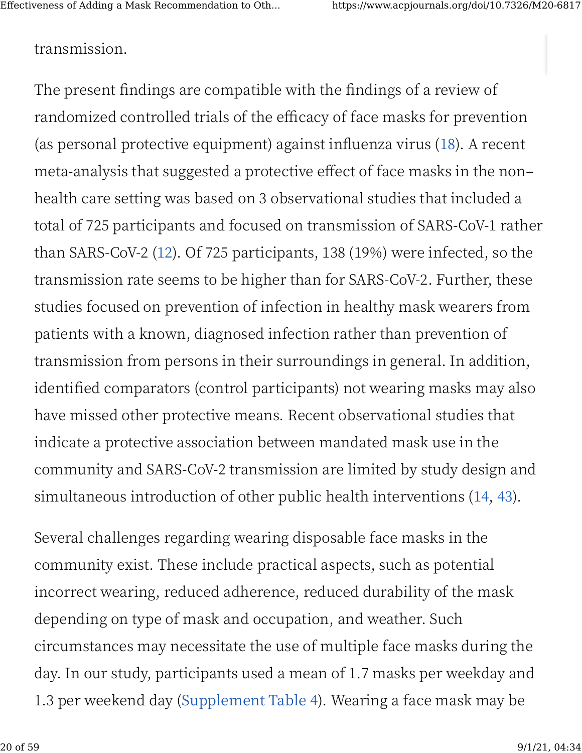# [tra](https://www.acpjournals.org/doi/10.7326/M20-6817#)nsmission.

The present findings are compatible with the findings of a review of randomized controlled trials of the efficacy of face masks for prevention (as personal protective equipment) against influenza virus (18). A recent meta-analysis that suggested a protective effect of face masks in the nonhealth care setting was based on 3 observational studies that included a total of 725 participants and focused on transmission of SARS-CoV-1 rather than SARS-CoV-2 (12). Of 725 participants, 138 (19%) were infected, so the transmission rate seems to be higher than for SARS-CoV-2. Further, these studies focused on prevention of infection in healthy mask wearers from patients with a known, diagnosed infection rather than prevention of transmission from persons in their surroundings in general. In addition, identified comparators (control participants) not wearing masks may also have missed other protective means. Recent observational studies that indicate a protective association between mandated mask use in the community and SARS-CoV-� transmission are limited by study design and simultaneous introduction of other public health interventions (14, 43).

Several challenges regarding wearing disposable face masks in the community exist. These include practical aspects, such as potential incorrect wearing, reduced adherence, reduced durability of the mask depending on type of mask and occupation, and weather. Such [ci](https://www.acpjournals.org/doi/10.7326/M20-6817#)rcumstances may necessitate the use of multiple face masks during the day. In our study, participants used a mean of 1.7 masks per weekday and 1.3 per weekend day (Supplement Table 4). Wearing a face mask may be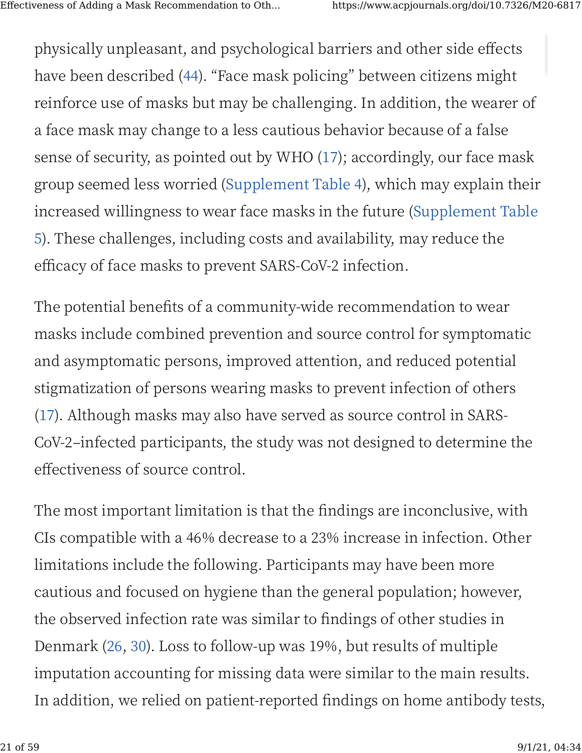[ph](https://www.acpjournals.org/doi/10.7326/M20-6817#)ysically unpleasant, and psychological barriers and other side effects have been described (44). "Face mask policing" between citizens might reinforce use of masks but may be challenging. In addition, the wearer of a face mask may change to a less cautious behavior because of a false sense of security, as pointed out by WHO  $(17)$ ; accordingly, our face mask group seemed less worried ([Supplement Table �](https://www.acpjournals.org/doi/suppl/10.7326/M20-6817/suppl_file/M20-6817_Supplement.pdf)), which may explain their increased willingness to wear face masks in the future ([Supplement Table](https://www.acpjournals.org/doi/suppl/10.7326/M20-6817/suppl_file/M20-6817_Supplement.pdf) [�](https://www.acpjournals.org/doi/suppl/10.7326/M20-6817/suppl_file/M20-6817_Supplement.pdf)). These challenges, including costs and availability, may reduce the efficacy of face masks to prevent SARS-CoV-2 infection.

The potential benefits of a community-wide recommendation to wear masks include combined prevention and source control for symptomatic and asymptomatic persons, improved attention, and reduced potential stigmatization of persons wearing masks to prevent infection of others (17). Although masks may also have served as source control in SARS-CoV-2–infected participants, the study was not designed to determine the effectiveness of source control.

The most important limitation is that the findings are inconclusive, with CIs compatible with a 46% decrease to a 23% increase in infection. Other limitations include the following. Participants may have been more cautious and focused on hygiene than the general population; however, the observed infection rate was similar to findings of other studies in Denmark (26, 30). Loss to follow-up was 19%, but results of multiple [im](https://www.acpjournals.org/doi/10.7326/M20-6817#)putation accounting for missing data were similar to the main results. In addition, we relied on patient-reported findings on home antibody tests,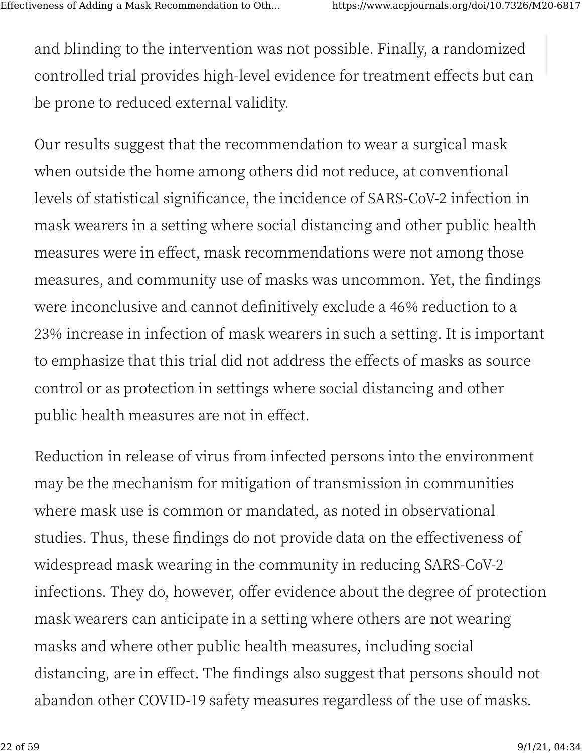[an](https://www.acpjournals.org/doi/10.7326/M20-6817#)d blinding to the intervention was not possible. Finally, a randomized controlled trial provides high-level evidence for treatment effects but can be prone to reduced external validity.

Our results suggest that the recommendation to wear a surgical mask when outside the home among others did not reduce, at conventional levels of statistical significance, the incidence of SARS-CoV-2 infection in mask wearers in a setting where social distancing and other public health measures were in effect, mask recommendations were not among those measures, and community use of masks was uncommon. Yet, the findings were inconclusive and cannot definitively exclude a 46% reduction to a 23% increase in infection of mask wearers in such a setting. It is important to emphasize that this trial did not address the effects of masks as source control or as protection in settings where social distancing and other public health measures are not in effect.

Reduction in release of virus from infected persons into the environment may be the mechanism for mitigation of transmission in communities where mask use is common or mandated, as noted in observational studies. Thus, these findings do not provide data on the effectiveness of widespread mask wearing in the community in reducing SARS-CoV-2 infections. They do, however, offer evidence about the degree of protection mask wearers can anticipate in a setting where others are not wearing [m](https://www.acpjournals.org/doi/10.7326/M20-6817#)asks and where other public health measures, including social distancing, are in effect. The findings also suggest that persons should not abandon other COVID-19 safety measures regardless of the use of masks.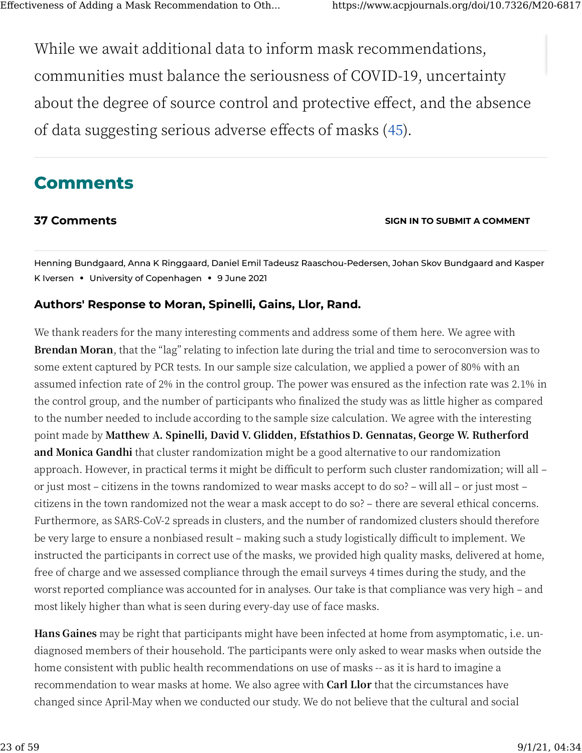[W](https://www.acpjournals.org/doi/10.7326/M20-6817#)hile we await additional data to inform mask recommendations, communities must balance the seriousness of COVID-19, uncertainty about the degree of source control and protective effect, and the absence of data suggesting serious adverse effects of masks (45).

# **[C](https://www.acpjournals.org/doi/10.7326/M20-6817#)omments**

#### **37 Comments [SIGN IN TO SUBMIT A COMMENT](https://www.acpjournals.org/action/showLogin?uri=/doi/full/10.7326/M20-6817#_comments)**

Henning Bundgaard, Anna K Ringgaard, Daniel Emil Tadeusz Raaschou-Pedersen, Johan Skov Bundgaard and Kasper K Iversen **•** University of Copenhagen **•** 9 June 2021

#### **Authors' Response to Moran, Spinelli, Gains, Llor, Rand.**

We thank readers for the many interesting comments and address some of them here. We agree with **Brendan Moran**, that the "lag" relating to infection late during the trial and time to seroconversion was to some extent captured by PCR tests. In our sample size calculation, we applied a power of 80% with an assumed infection rate of 2% in the control group. The power was ensured as the infection rate was 2.1% in the control group, and the number of participants who finalized the study was as little higher as compared to the number needed to include according to the sample size calculation. We agree with the interesting point made by **Matthew A. Spinelli, David V. Glidden, Efstathios D. Gennatas, George W. Rutherford and Monica Gandhi** that cluster randomization might be a good alternative to our randomization approach. However, in practical terms it might be difficult to perform such cluster randomization; will all or just most – citizens in the towns randomized to wear masks accept to do so? – will all – or just most – citizens in the town randomized not the wear a mask accept to do so? – there are several ethical concerns. Furthermore, as SARS-CoV-2 spreads in clusters, and the number of randomized clusters should therefore be very large to ensure a nonbiased result – making such a study logistically difficult to implement. We instructed the participants in correct use of the masks, we provided high quality masks, delivered at home, free of charge and we assessed compliance through the email surveys 4 times during the study, and the worst reported compliance was accounted for in analyses. Our take is that compliance was very high – and most likely higher than what is seen during every-day use of face masks.

**Hans Gaines** may be right that participants might have been infected at home from asymptomatic, i.e. undiagnosed members of their household. The participants were only asked to wear masks when outside the home consistent with public health recommendations on use of masks -- as it is hard to imagine a recommendation to wear masks at home. We also agree with **Carl Llor** that the circumstances have changed since April-May when we conducted our study. We do not believe that the cultural and social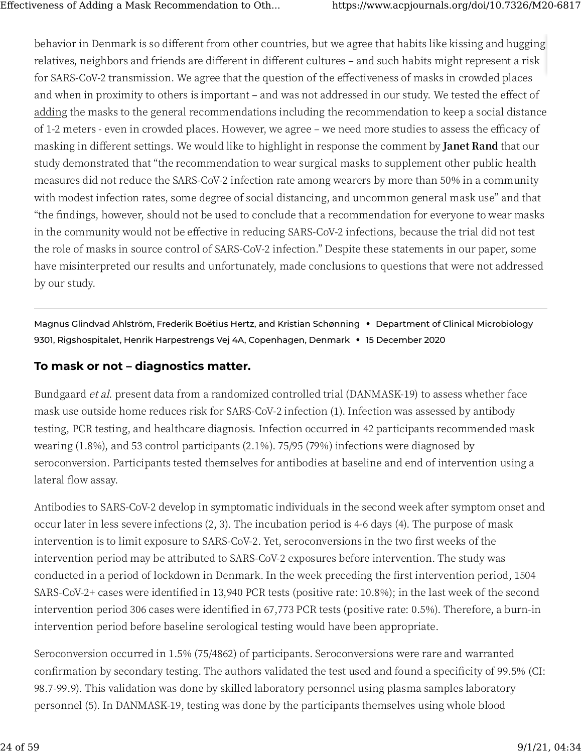[be](https://www.acpjournals.org/doi/10.7326/M20-6817#)havior in Denmark is so different from other countries, but we agree that habits like kissing and hugging relatives, neighbors and friends are different in different cultures - and such habits might represent a risk for SARS-CoV-2 transmission. We agree that the question of the effectiveness of masks in crowded places and when in proximity to others is important – and was not addressed in our study. We tested the effect of adding the masks to the general recommendations including the recommendation to keep a social distance of 1-2 meters - even in crowded places. However, we agree – we need more studies to assess the efficacy of masking in different settings. We would like to highlight in response the comment by **Janet Rand** that our study demonstrated that "the recommendation to wear surgical masks to supplement other public health measures did not reduce the SARS-CoV-2 infection rate among wearers by more than 50% in a community with modest infection rates, some degree of social distancing, and uncommon general mask use" and that "the �ndings, however, should not be used to conclude that a recommendation for everyone to wear masks in the community would not be effective in reducing SARS-CoV-2 infections, because the trial did not test the role of masks in source control of SARS-CoV-2 infection." Despite these statements in our paper, some have misinterpreted our results and unfortunately, made conclusions to questions that were not addressed by our study.

Magnus Glindvad Ahlström, Frederik Boëtius Hertz, and Kristian Schønning **•** Department of Clinical Microbiology 9301, Rigshospitalet, Henrik Harpestrengs Vej 4A, Copenhagen, Denmark **•** 15 December 2020

#### **[To](https://www.acpjournals.org/doi/10.7326/M20-6817#) mask or not – diagnostics matter.**

Bundgaard et al. present data from a randomized controlled trial (DANMASK-19) to assess whether face mask use outside home reduces risk for SARS-CoV-2 infection (1). Infection was assessed by antibody testing, PCR testing, and healthcare diagnosis. Infection occurred in 42 participants recommended mask wearing  $(1.8\%)$ , and 53 control participants  $(2.1\%)$ . 75/95 (79%) infections were diagnosed by seroconversion. Participants tested themselves for antibodies at baseline and end of intervention using a lateral flow assay.

Antibodies to SARS-CoV-2 develop in symptomatic individuals in the second week after symptom onset and occur later in less severe infections (2, 3). The incubation period is 4-6 days (4). The purpose of mask intervention is to limit exposure to SARS-CoV-2. Yet, seroconversions in the two first weeks of the intervention period may be attributed to SARS-CoV-2 exposures before intervention. The study was conducted in a period of lockdown in Denmark. In the week preceding the first intervention period, 1504 SARS-CoV-2+ cases were identified in 13,940 PCR tests (positive rate: 10.8%); in the last week of the second intervention period 306 cases were identified in 67,773 PCR tests (positive rate: 0.5%). Therefore, a burn-in intervention period before baseline serological testing would have been appropriate.

Seroconversion occurred in 1.5% (75/4862) of participants. Seroconversions were rare and warranted confirmation by secondary testing. The authors validated the test used and found a specificity of 99.5% (CI: 98.7-99.9). This validation was done by skilled laboratory personnel using plasma samples laboratory personnel (5). In DANMASK-19, testing was done by the participants themselves using whole blood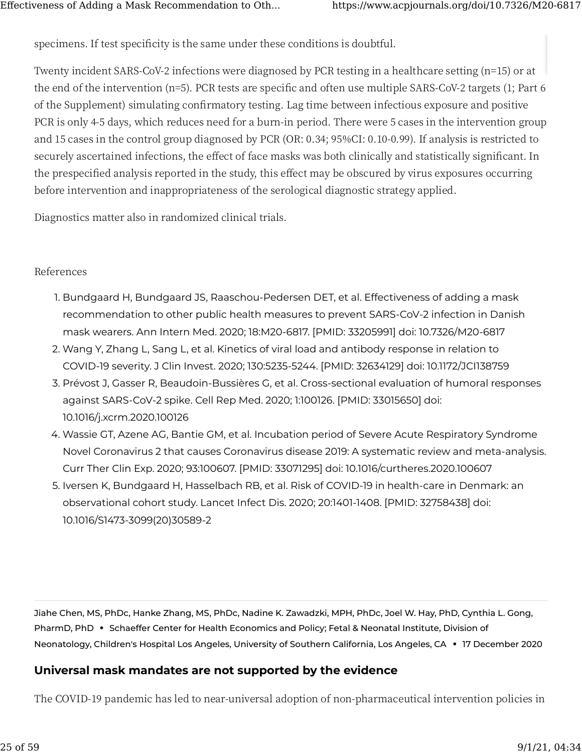[spe](https://www.acpjournals.org/doi/10.7326/M20-6817#)cimens. If test specificity is the same under these conditions is doubtful.

Twenty incident SARS-CoV-2 infections were diagnosed by PCR testing in a healthcare setting (n=15) or at the end of the intervention ( $n=5$ ). PCR tests are specific and often use multiple SARS-CoV-2 targets (1; Part  $6$ of the Supplement) simulating con�rmatory testing. Lag time between infectious exposure and positive PCR is only 4-5 days, which reduces need for a burn-in period. There were 5 cases in the intervention group and 15 cases in the control group diagnosed by PCR (OR: 0.34; 95%CI: 0.10-0.99). If analysis is restricted to securely ascertained infections, the effect of face masks was both clinically and statistically significant. In the prespecified analysis reported in the study, this effect may be obscured by virus exposures occurring before intervention and inappropriateness of the serological diagnostic strategy applied.

Diagnostics matter also in randomized clinical trials.

#### References

- 1. Bundgaard H, Bundgaard JS, Raaschou-Pedersen DET, et al. Effectiveness of adding a mask recommendation to other public health measures to prevent SARS-CoV-2 infection in Danish mask wearers. Ann Intern Med. 2020; 18:M20-6817. [PMID: 33205991] doi: 10.7326/M20-6817
- 2. Wang Y, Zhang L, Sang L, et al. Kinetics of viral load and antibody response in relation to COVID-19 severity. J Clin Invest. 2020; 130:5235-5244. [PMID: 32634129] doi: 10.1172/JCI138759
- 3. Prévost J, Gasser R, Beaudoin-Bussières G, et al. Cross-sectional evaluation of humoral responses against SARS-CoV-2 spike. Cell Rep Med. 2020; 1:100126. [PMID: 33015650] doi: 10.1016/j.xcrm.2020.100126
- 4. Wassie GT, Azene AG, Bantie GM, et al. Incubation period of Severe Acute Respiratory Syndrome Novel Coronavirus 2 that causes Coronavirus disease 2019: A systematic review and meta-analysis. Curr Ther Clin Exp. 2020; 93:100607. [PMID: 33071295] doi: 10.1016/curtheres.2020.100607
- 5. Iversen K, Bundgaard H, Hasselbach RB, et al. Risk of COVID-19 in health-care in Denmark: an observational cohort study. Lancet Infect Dis. 2020; 20:1401-1408. [PMID: 32758438] doi: 10.1016/S1473-3099(20)30589-2

Jiahe Chen, MS, PhDc, Hanke Zhang, MS, PhDc, Nadine K. Zawadzki, MPH, PhDc, Joel W. Hay, PhD, Cynthia L. Gong, PharmD, PhD **•** Schaeffer Center for Health Economics and Policy; Fetal & Neonatal Institute, Division of Neonatology, Children's Hospital Los Angeles, University of Southern California, Los Angeles, CA **•** 17 December 2020

### **[Un](https://www.acpjournals.org/doi/10.7326/M20-6817#)iversal mask mandates are not supported by the evidence**

The COVID-19 pandemic has led to near-universal adoption of non-pharmaceutical intervention policies in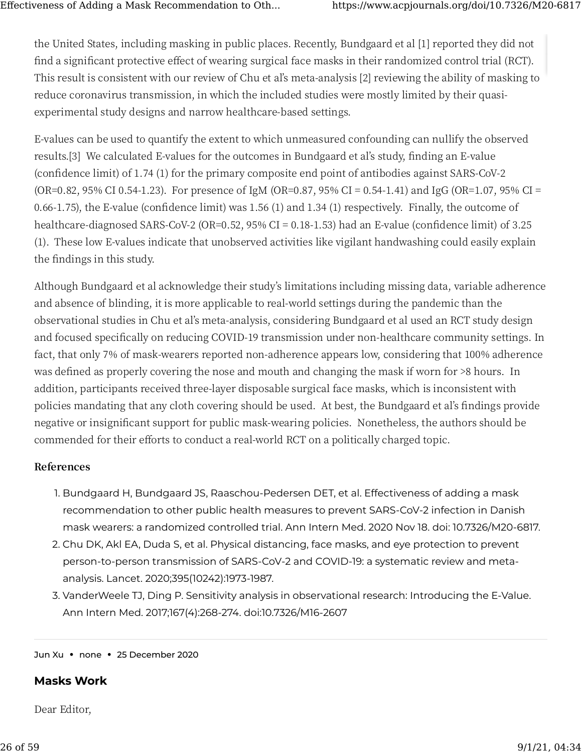[the](https://www.acpjournals.org/doi/10.7326/M20-6817#) United States, including masking in public places. Recently, Bundgaard et al [1] reported they did not find a significant protective effect of wearing surgical face masks in their randomized control trial (RCT). This result is consistent with our review of Chu et al's meta-analysis [2] reviewing the ability of masking to reduce coronavirus transmission, in which the included studies were mostly limited by their quasiexperimental study designs and narrow healthcare-based settings.

E-values can be used to quantify the extent to which unmeasured confounding can nullify the observed results.[3] We calculated E-values for the outcomes in Bundgaard et al's study, finding an E-value (confidence limit) of 1.74 (1) for the primary composite end point of antibodies against SARS-CoV-2 (OR=0.82, 95% CI 0.54-1.23). For presence of IgM (OR=0.87, 95% CI = 0.54-1.41) and IgG (OR=1.07, 95% CI = 0.66-1.75), the E-value (confidence limit) was  $1.56$  (1) and  $1.34$  (1) respectively. Finally, the outcome of healthcare-diagnosed SARS-CoV-2 (OR=0.52,  $95\%$  CI = 0.18-1.53) had an E-value (confidence limit) of 3.25 (�). These low E-values indicate that unobserved activities like vigilant handwashing could easily explain the findings in this study.

Although Bundgaard et al acknowledge their study's limitations including missing data, variable adherence and absence of blinding, it is more applicable to real-world settings during the pandemic than the observational studies in Chu et al's meta-analysis, considering Bundgaard et al used an RCT study design and focused specifically on reducing COVID-19 transmission under non-healthcare community settings. In fact, that only 7% of mask-wearers reported non-adherence appears low, considering that 100% adherence was defined as properly covering the nose and mouth and changing the mask if worn for >8 hours. In addition, participants received three-layer disposable surgical face masks, which is inconsistent with policies mandating that any cloth covering should be used. At best, the Bundgaard et al's findings provide negative or insignificant support for public mask-wearing policies. Nonetheless, the authors should be commended for their efforts to conduct a real-world RCT on a politically charged topic.

#### **References**

- 1. Bundgaard H, Bundgaard JS, Raaschou-Pedersen DET, et al. Effectiveness of adding a mask recommendation to other public health measures to prevent SARS-CoV-2 infection in Danish mask wearers: a randomized controlled trial. Ann Intern Med. 2020 Nov 18. doi: 10.7326/M20-6817.
- 2. Chu DK, Akl EA, Duda S, et al. Physical distancing, face masks, and eye protection to prevent person-to-person transmission of SARS-CoV-2 and COVID-19: a systematic review and metaanalysis. Lancet. 2020;395(10242):1973-1987.
- 3. VanderWeele TJ, Ding P. Sensitivity analysis in observational research: Introducing the E-Value. Ann Intern Med. 2017;167(4):268-274. doi:10.7326/M16-2607

Jun Xu **•** none **•** 25 December 2020

#### **[Ma](https://www.acpjournals.org/doi/10.7326/M20-6817#)sks Work**

Dear Editor,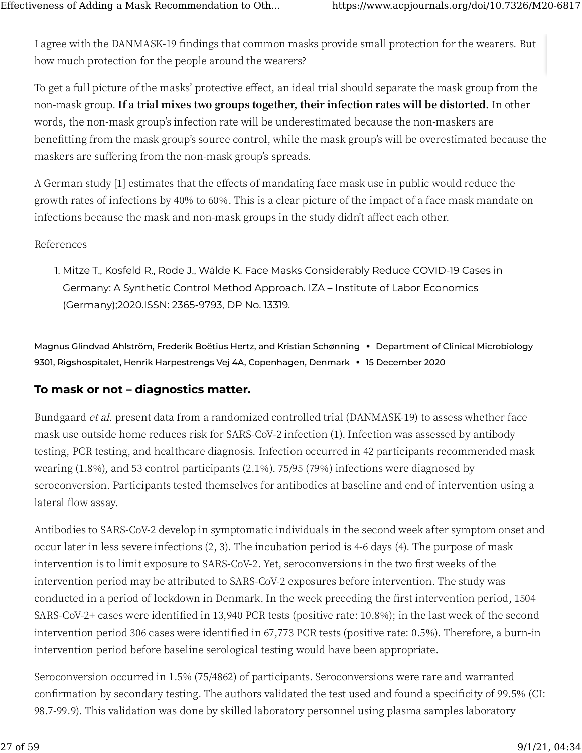[I a](https://www.acpjournals.org/doi/10.7326/M20-6817#)gree with the DANMASK-19 findings that common masks provide small protection for the wearers. But how much protection for the people around the wearers?

To get a full picture of the masks' protective effect, an ideal trial should separate the mask group from the non-mask group. **If a trial mixes two groups together, their infection rates will be distorted.** In other words, the non-mask group's infection rate will be underestimated because the non-maskers are benefitting from the mask group's source control, while the mask group's will be overestimated because the maskers are suffering from the non-mask group's spreads.

A German study [1] estimates that the effects of mandating face mask use in public would reduce the growth rates of infections by 40% to 60%. This is a clear picture of the impact of a face mask mandate on infections because the mask and non-mask groups in the study didn't affect each other.

#### References

1. Mitze T., Kosfeld R., Rode J., Wälde K. Face Masks Considerably Reduce COVID-19 Cases in Germany: A Synthetic Control Method Approach. IZA – Institute of Labor Economics (Germany);2020.ISSN: 2365-9793, DP No. 13319.

Magnus Glindvad Ahlström, Frederik Boëtius Hertz, and Kristian Schønning **•** Department of Clinical Microbiology 9301, Rigshospitalet, Henrik Harpestrengs Vej 4A, Copenhagen, Denmark **•** 15 December 2020

#### **[To](https://www.acpjournals.org/doi/10.7326/M20-6817#) mask or not – diagnostics matter.**

Bundgaard *et al*. present data from a randomized controlled trial (DANMASK-19) to assess whether face mask use outside home reduces risk for SARS-CoV-2 infection (1). Infection was assessed by antibody testing, PCR testing, and healthcare diagnosis. Infection occurred in 42 participants recommended mask wearing (1.8%), and 53 control participants (2.1%). 75/95 (79%) infections were diagnosed by seroconversion. Participants tested themselves for antibodies at baseline and end of intervention using a lateral flow assay.

Antibodies to SARS-CoV-2 develop in symptomatic individuals in the second week after symptom onset and occur later in less severe infections (2, 3). The incubation period is 4-6 days (4). The purpose of mask intervention is to limit exposure to SARS-CoV-2. Yet, seroconversions in the two first weeks of the intervention period may be attributed to SARS-CoV-2 exposures before intervention. The study was conducted in a period of lockdown in Denmark. In the week preceding the first intervention period, 1504 SARS-CoV-2+ cases were identified in 13,940 PCR tests (positive rate: 10.8%); in the last week of the second intervention period 306 cases were identified in 67,773 PCR tests (positive rate: 0.5%). Therefore, a burn-in intervention period before baseline serological testing would have been appropriate.

Seroconversion occurred in 1.5% (75/4862) of participants. Seroconversions were rare and warranted confirmation by secondary testing. The authors validated the test used and found a specificity of 99.5% (CI: 98.7-99.9). This validation was done by skilled laboratory personnel using plasma samples laboratory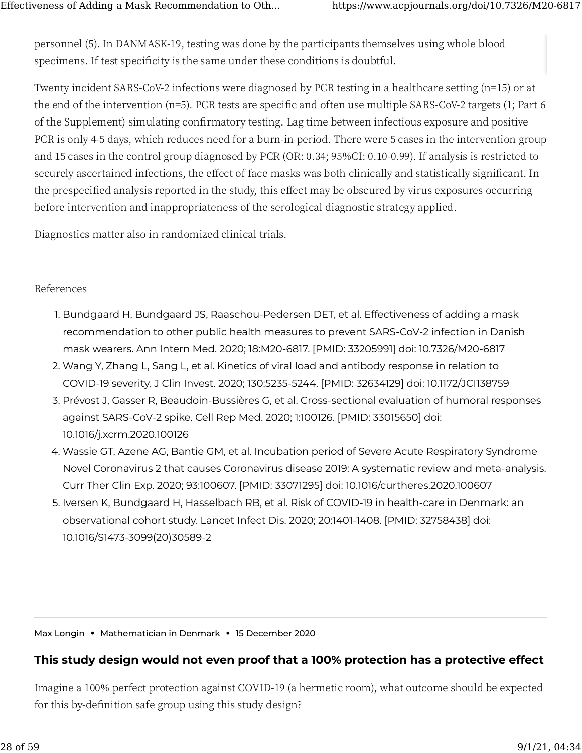[pe](https://www.acpjournals.org/doi/10.7326/M20-6817#)rsonnel (5). In DANMASK-19, testing was done by the participants themselves using whole blood specimens. If test specificity is the same under these conditions is doubtful.

Twenty incident SARS-CoV-2 infections were diagnosed by PCR testing in a healthcare setting ( $n=15$ ) or at the end of the intervention ( $n=5$ ). PCR tests are specific and often use multiple SARS-CoV-2 targets (1; Part  $6$ of the Supplement) simulating con�rmatory testing. Lag time between infectious exposure and positive PCR is only 4-5 days, which reduces need for a burn-in period. There were 5 cases in the intervention group and 15 cases in the control group diagnosed by PCR (OR: 0.34; 95%CI: 0.10-0.99). If analysis is restricted to securely ascertained infections, the effect of face masks was both clinically and statistically significant. In the prespecified analysis reported in the study, this effect may be obscured by virus exposures occurring before intervention and inappropriateness of the serological diagnostic strategy applied.

Diagnostics matter also in randomized clinical trials.

#### References

- 1. Bundgaard H, Bundgaard JS, Raaschou-Pedersen DET, et al. Effectiveness of adding a mask recommendation to other public health measures to prevent SARS-CoV-2 infection in Danish mask wearers. Ann Intern Med. 2020; 18:M20-6817. [PMID: 33205991] doi: 10.7326/M20-6817
- 2. Wang Y, Zhang L, Sang L, et al. Kinetics of viral load and antibody response in relation to COVID-19 severity. J Clin Invest. 2020; 130:5235-5244. [PMID: 32634129] doi: 10.1172/JCI138759
- 3. Prévost J, Gasser R, Beaudoin-Bussières G, et al. Cross-sectional evaluation of humoral responses against SARS-CoV-2 spike. Cell Rep Med. 2020; 1:100126. [PMID: 33015650] doi: 10.1016/j.xcrm.2020.100126
- 4. Wassie GT, Azene AG, Bantie GM, et al. Incubation period of Severe Acute Respiratory Syndrome Novel Coronavirus 2 that causes Coronavirus disease 2019: A systematic review and meta-analysis. Curr Ther Clin Exp. 2020; 93:100607. [PMID: 33071295] doi: 10.1016/curtheres.2020.100607
- 5. Iversen K, Bundgaard H, Hasselbach RB, et al. Risk of COVID-19 in health-care in Denmark: an observational cohort study. Lancet Infect Dis. 2020; 20:1401-1408. [PMID: 32758438] doi: 10.1016/S1473-3099(20)30589-2

Max Longin **•** Mathematician in Denmark **•** 15 December 2020

#### **[Th](https://www.acpjournals.org/doi/10.7326/M20-6817#)is study design would not even proof that a 100% protection has a protective effect**

Imagine a 100% perfect protection against COVID-19 (a hermetic room), what outcome should be expected for this by-definition safe group using this study design?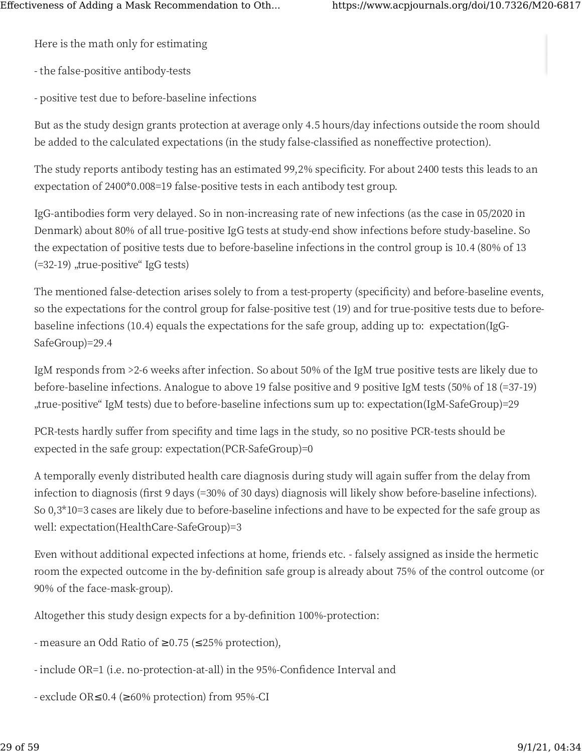Here is the math only for estimating

- the false-positive antibody-tests

- positive test due to before-baseline infections

But as the study design grants protection at average only 4.5 hours/day infections outside the room should be added to the calculated expectations (in the study false-classified as noneffective protection).

The study reports antibody testing has an estimated 99,2% specificity. For about 2400 tests this leads to an expectation of 2400\*0.008=19 false-positive tests in each antibody test group.

IgG-antibodies form very delayed. So in non-increasing rate of new infections (as the case in 05/2020 in Denmark) about 80% of all true-positive IgG tests at study-end show infections before study-baseline. So the expectation of positive tests due to before-baseline infections in the control group is 10.4 (80% of 13 (=32-19), true-positive" IgG tests)

The mentioned false-detection arises solely to from a test-property (specificity) and before-baseline events, so the expectations for the control group for false-positive test (19) and for true-positive tests due to beforebaseline infections (10.4) equals the expectations for the safe group, adding up to: expectation(IgG-SafeGroup)=29.4

IgM responds from >2-6 weeks after infection. So about 50% of the IgM true positive tests are likely due to before-baseline infections. Analogue to above 19 false positive and 9 positive IgM tests (50% of 18 (=37-19) true-positive" IgM tests) due to before-baseline infections sum up to: expectation(IgM-SafeGroup)=29,

PCR-tests hardly suffer from specifity and time lags in the study, so no positive PCR-tests should be expected in the safe group: expectation(PCR-SafeGroup)=0

A temporally evenly distributed health care diagnosis during study will again suffer from the delay from infection to diagnosis (first 9 days (=30% of 30 days) diagnosis will likely show before-baseline infections). So 0,3\*10=3 cases are likely due to before-baseline infections and have to be expected for the safe group as well: expectation(HealthCare-SafeGroup)=3

Even without additional expected infections at home, friends etc. - falsely assigned as inside the hermetic room the expected outcome in the by-definition safe group is already about 75% of the control outcome (or 90% of the face-mask-group).

Altogether this study design expects for a by-definition 100%-protection:

- measure an Odd Ratio of  $\geq$ 0.75 ( $\leq$ 25% protection),
- include OR=1 (i.e. no-protection-at-all) in the 95%-Confidence Interval and
- exclude OR $\leq$ 0.4 ( $\geq$ 60% protection) from 95%-CI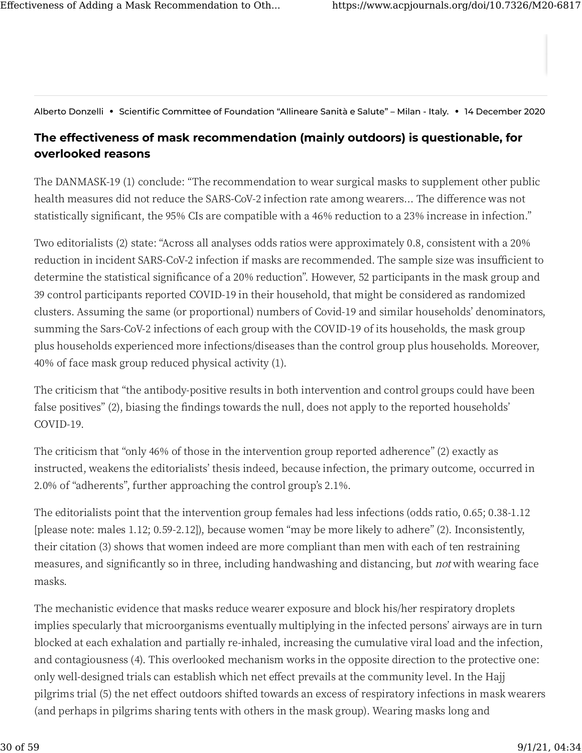Alberto Donzelli **•** Scientific Committee of Foundation "Allineare Sanità e Salute" – Milan - Italy. **•** 14 December 2020

### **[Th](https://www.acpjournals.org/doi/10.7326/M20-6817#)e effectiveness of mask recommendation (mainly outdoors) is questionable, for overlooked reasons**

The DANMASK-19 (1) conclude: "The recommendation to wear surgical masks to supplement other public health measures did not reduce the SARS-CoV-2 infection rate among wearers... The difference was not statistically significant, the 95% CIs are compatible with a 46% reduction to a 23% increase in infection."

Two editorialists (2) state: "Across all analyses odds ratios were approximately 0.8, consistent with a 20% reduction in incident SARS-CoV-2 infection if masks are recommended. The sample size was insufficient to determine the statistical significance of a 20% reduction". However, 52 participants in the mask group and 39 control participants reported COVID-19 in their household, that might be considered as randomized clusters. Assuming the same (or proportional) numbers of Covid-�� and similar households' denominators, summing the Sars-CoV-2 infections of each group with the COVID-19 of its households, the mask group plus households experienced more infections/diseases than the control group plus households. Moreover, 40% of face mask group reduced physical activity (1).

The criticism that "the antibody-positive results in both intervention and control groups could have been false positives" (2), biasing the findings towards the null, does not apply to the reported households' COVID-19.

The criticism that "only 46% of those in the intervention group reported adherence" (2) exactly as instructed, weakens the editorialists' thesis indeed, because infection, the primary outcome, occurred in 2.0% of "adherents", further approaching the control group's 2.1%.

The editorialists point that the intervention group females had less infections (odds ratio, 0.65; 0.38-1.12 [please note: males 1.12; 0.59-2.12]), because women "may be more likely to adhere" (2). Inconsistently, their citation (�) shows that women indeed are more compliant than men with each of ten restraining measures, and significantly so in three, including handwashing and distancing, but not with wearing face masks.

The mechanistic evidence that masks reduce wearer exposure and block his/her respiratory droplets implies specularly that microorganisms eventually multiplying in the infected persons' airways are in turn blocked at each exhalation and partially re-inhaled, increasing the cumulative viral load and the infection, and contagiousness (4). This overlooked mechanism works in the opposite direction to the protective one: only well-designed trials can establish which net effect prevails at the community level. In the Hajj pilgrims trial (5) the net effect outdoors shifted towards an excess of respiratory infections in mask wearers (and perhaps in pilgrims sharing tents with others in the mask group). Wearing masks long and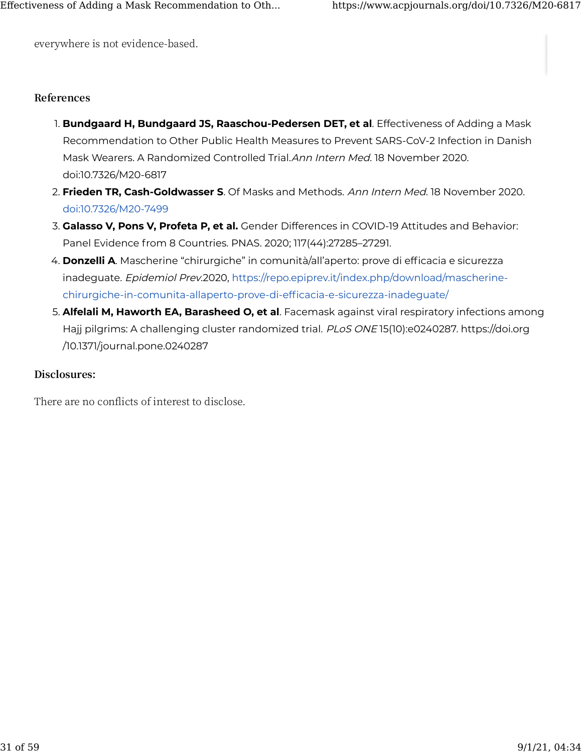[eve](https://www.acpjournals.org/doi/10.7326/M20-6817#)rywhere is not evidence-based.

#### **References**

- 1. **Bundgaard H, Bundgaard JS, Raaschou-Pedersen DET, et al**. Effectiveness of Adding a Mask Recommendation to Other Public Health Measures to Prevent SARS-CoV-2 Infection in Danish Mask Wearers. A Randomized Controlled Trial.Ann Intern Med. 18 November 2020. doi:10.7326/M20-6817
- 2. **Frieden TR, Cash-Goldwasser S**. Of Masks and Methods. Ann Intern Med. 18 November 2020. [doi:10.7326/M20-7499](https://doi.org/10.7326/M20-7499)
- 3. **Galasso V, Pons V, Profeta P, et al.** Gender Differences in COVID-19 Attitudes and Behavior: Panel Evidence from 8 Countries. PNAS. 2020; 117(44):27285–27291.
- 4. **Donzelli A**. Mascherine "chirurgiche" in comunità/all'aperto: prove di efficacia e sicurezza inadequate. Epidemiol Prev.2020, [https://repo.epiprev.it/index.php/download/mascherine](https://repo.epiprev.it/index.php/download/mascherine-chirurgiche-in-comunita-allaperto-prove-di-efficacia-e-sicurezza-inadeguate/)[chirurgiche-in-comunita-allaperto-prove-di-ef](https://repo.epiprev.it/index.php/download/mascherine-chirurgiche-in-comunita-allaperto-prove-di-efficacia-e-sicurezza-inadeguate/)ficacia-e-sicurezza-inadeguate/
- 5. **Alfelali M, Haworth EA, Barasheed O, et al**. Facemask against viral respiratory infections among Hajj pilgrims: A challenging cluster randomized trial. PLoS ONE 15(10):e0240287. https://doi.org /10.1371/journal.pone.0240287

#### **Disclosures:**

There are no conflicts of interest to disclose.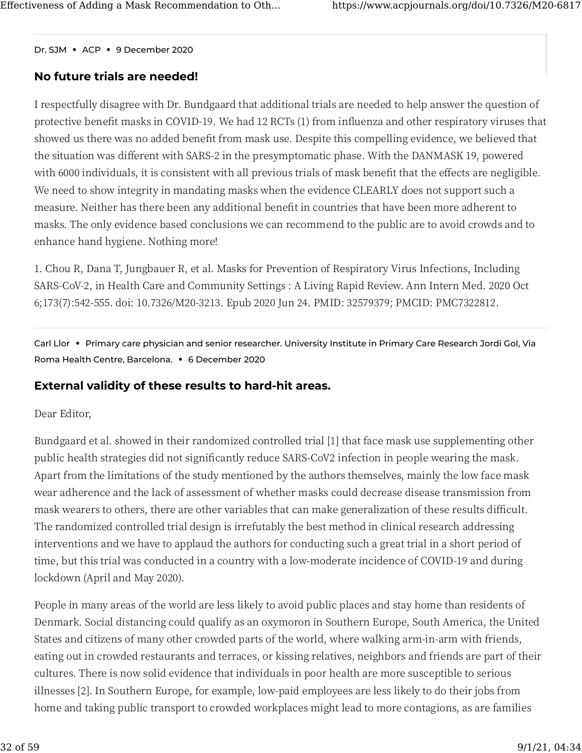[Dr.](https://www.acpjournals.org/doi/10.7326/M20-6817#) SJM **•** ACP **•** 9 December 2020

#### **[No](https://www.acpjournals.org/doi/10.7326/M20-6817#) future trials are needed!**

I respectfully disagree with Dr. Bundgaard that additional trials are needed to help answer the question of protective benefit masks in COVID-19. We had 12 RCTs (1) from influenza and other respiratory viruses that showed us there was no added benefit from mask use. Despite this compelling evidence, we believed that the situation was different with SARS-2 in the presymptomatic phase. With the DANMASK 19, powered with 6000 individuals, it is consistent with all previous trials of mask benefit that the effects are negligible. We need to show integrity in mandating masks when the evidence CLEARLY does not support such a measure. Neither has there been any additional bene�t in countries that have been more adherent to masks. The only evidence based conclusions we can recommend to the public are to avoid crowds and to enhance hand hygiene. Nothing more!

�. Chou R, Dana T, Jungbauer R, et al. Masks for Prevention of Respiratory Virus Infections, Including SARS-CoV-2, in Health Care and Community Settings : A Living Rapid Review. Ann Intern Med. 2020 Oct 6;173(7):542-555. doi: 10.7326/M20-3213. Epub 2020 Jun 24. PMID: 32579379; PMCID: PMC7322812.

Carl Llor **•** Primary care physician and senior researcher. University Institute in Primary Care Research Jordi Gol, Via Roma Health Centre, Barcelona. **•** 6 December 2020

#### **External validity of these results to hard-hit areas.**

Dear Editor,

Bundgaard et al. showed in their randomized controlled trial [1] that face mask use supplementing other public health strategies did not significantly reduce SARS-CoV2 infection in people wearing the mask. Apart from the limitations of the study mentioned by the authors themselves, mainly the low face mask wear adherence and the lack of assessment of whether masks could decrease disease transmission from mask wearers to others, there are other variables that can make generalization of these results difficult. The randomized controlled trial design is irrefutably the best method in clinical research addressing interventions and we have to applaud the authors for conducting such a great trial in a short period of time, but this trial was conducted in a country with a low-moderate incidence of COVID-19 and during lockdown (April and May 2020).

People in many areas of the world are less likely to avoid public places and stay home than residents of Denmark. Social distancing could qualify as an oxymoron in Southern Europe, South America, the United States and citizens of many other crowded parts of the world, where walking arm-in-arm with friends, eating out in crowded restaurants and terraces, or kissing relatives, neighbors and friends are part of their cultures. There is now solid evidence that individuals in poor health are more susceptible to serious illnesses [2]. In Southern Europe, for example, low-paid employees are less likely to do their jobs from home and taking public transport to crowded workplaces might lead to more contagions, as are families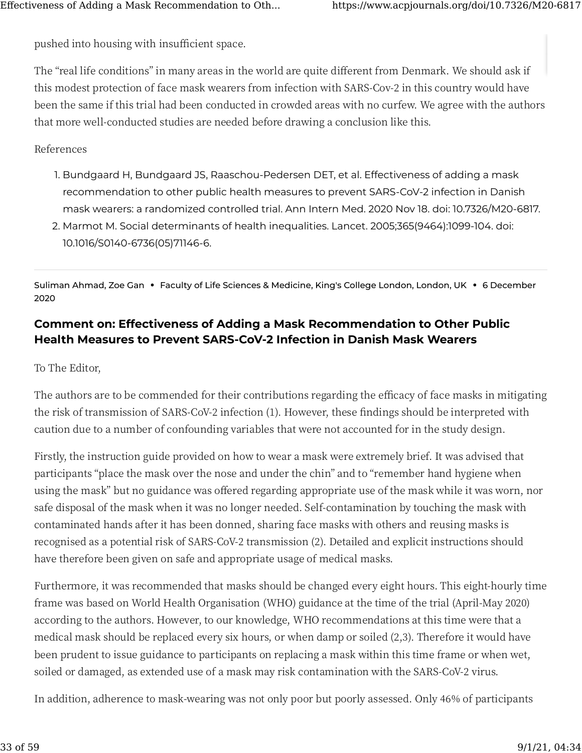[pu](https://www.acpjournals.org/doi/10.7326/M20-6817#)shed into housing with insufficient space.

The "real life conditions" in many areas in the world are quite di�erent from Denmark. We should ask if this modest protection of face mask wearers from infection with SARS-Cov-2 in this country would have been the same if this trial had been conducted in crowded areas with no curfew. We agree with the authors that more well-conducted studies are needed before drawing a conclusion like this.

References

- 1. Bundgaard H, Bundgaard JS, Raaschou-Pedersen DET, et al. Effectiveness of adding a mask recommendation to other public health measures to prevent SARS-CoV-2 infection in Danish mask wearers: a randomized controlled trial. Ann Intern Med. 2020 Nov 18. doi: 10.7326/M20-6817.
- 2. Marmot M. Social determinants of health inequalities. Lancet. 2005;365(9464):1099-104. doi: 10.1016/S0140-6736(05)71146-6.

Suliman Ahmad, Zoe Gan **•** Faculty of Life Sciences & Medicine, King's College London, London, UK **•** 6 December 2020

### **[Co](https://www.acpjournals.org/doi/10.7326/M20-6817#)mment on: Effectiveness of Adding a Mask Recommendation to Other Public Health Measures to Prevent SARS-CoV-2 Infection in Danish Mask Wearers**

To The Editor,

The authors are to be commended for their contributions regarding the efficacy of face masks in mitigating the risk of transmission of SARS-CoV-2 infection (1). However, these findings should be interpreted with caution due to a number of confounding variables that were not accounted for in the study design.

Firstly, the instruction guide provided on how to wear a mask were extremely brief. It was advised that participants "place the mask over the nose and under the chin" and to "remember hand hygiene when using the mask" but no guidance was o�ered regarding appropriate use of the mask while it was worn, nor safe disposal of the mask when it was no longer needed. Self-contamination by touching the mask with contaminated hands after it has been donned, sharing face masks with others and reusing masks is recognised as a potential risk of SARS-CoV-2 transmission (2). Detailed and explicit instructions should have therefore been given on safe and appropriate usage of medical masks.

Furthermore, it was recommended that masks should be changed every eight hours. This eight-hourly time frame was based on World Health Organisation (WHO) guidance at the time of the trial (April-May 2020) according to the authors. However, to our knowledge, WHO recommendations at this time were that a medical mask should be replaced every six hours, or when damp or soiled (2,3). Therefore it would have been prudent to issue guidance to participants on replacing a mask within this time frame or when wet, soiled or damaged, as extended use of a mask may risk contamination with the SARS-CoV-2 virus.

In addition, adherence to mask-wearing was not only poor but poorly assessed. Only 46% of participants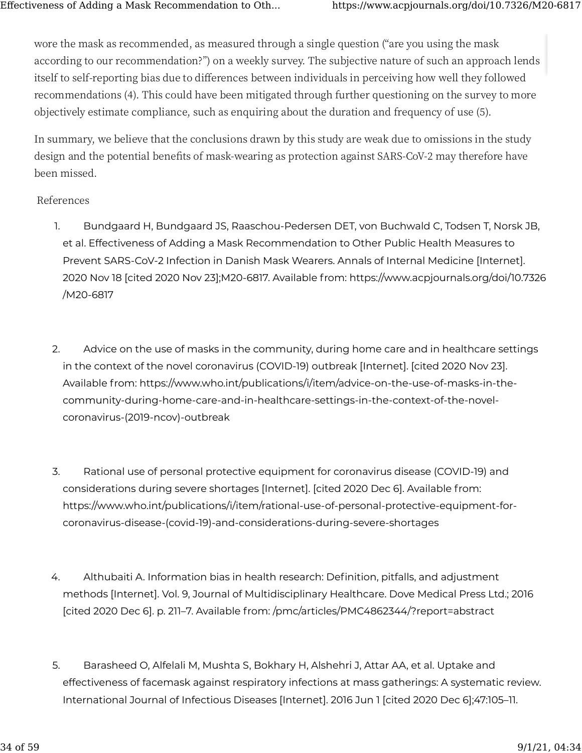[wo](https://www.acpjournals.org/doi/10.7326/M20-6817#)re the mask as recommended, as measured through a single question ("are you using the mask according to our recommendation?") on a weekly survey. The subjective nature of such an approach lends itself to self-reporting bias due to differences between individuals in perceiving how well they followed recommendations (4). This could have been mitigated through further questioning on the survey to more objectively estimate compliance, such as enquiring about the duration and frequency of use (�).

In summary, we believe that the conclusions drawn by this study are weak due to omissions in the study design and the potential benefits of mask-wearing as protection against SARS-CoV-2 may therefore have been missed.

#### References

- 1. Bundgaard H, Bundgaard JS, Raaschou-Pedersen DET, von Buchwald C, Todsen T, Norsk JB, et al. Effectiveness of Adding a Mask Recommendation to Other Public Health Measures to Prevent SARS-CoV-2 Infection in Danish Mask Wearers. Annals of Internal Medicine [Internet]. 2020 Nov 18 [cited 2020 Nov 23];M20-6817. Available from: https://www.acpjournals.org/doi/10.7326 /M20-6817
- 2. Advice on the use of masks in the community, during home care and in healthcare settings in the context of the novel coronavirus (COVID-19) outbreak [Internet]. [cited 2020 Nov 23]. Available from: https://www.who.int/publications/i/item/advice-on-the-use-of-masks-in-thecommunity-during-home-care-and-in-healthcare-settings-in-the-context-of-the-novelcoronavirus-(2019-ncov)-outbreak
- 3. Rational use of personal protective equipment for coronavirus disease (COVID-19) and considerations during severe shortages [Internet]. [cited 2020 Dec 6]. Available from: https://www.who.int/publications/i/item/rational-use-of-personal-protective-equipment-forcoronavirus-disease-(covid-19)-and-considerations-during-severe-shortages
- 4. Althubaiti A. Information bias in health research: Definition, pitfalls, and adjustment methods [Internet]. Vol. 9, Journal of Multidisciplinary Healthcare. Dove Medical Press Ltd.; 2016 [cited 2020 Dec 6]. p. 211–7. Available from: /pmc/articles/PMC4862344/?report=abstract
- 5. Barasheed O, Alfelali M, Mushta S, Bokhary H, Alshehri J, Attar AA, et al. Uptake and effectiveness of facemask against respiratory infections at mass gatherings: A systematic review. International Journal of Infectious Diseases [Internet]. 2016 Jun 1 [cited 2020 Dec 6];47:105–11.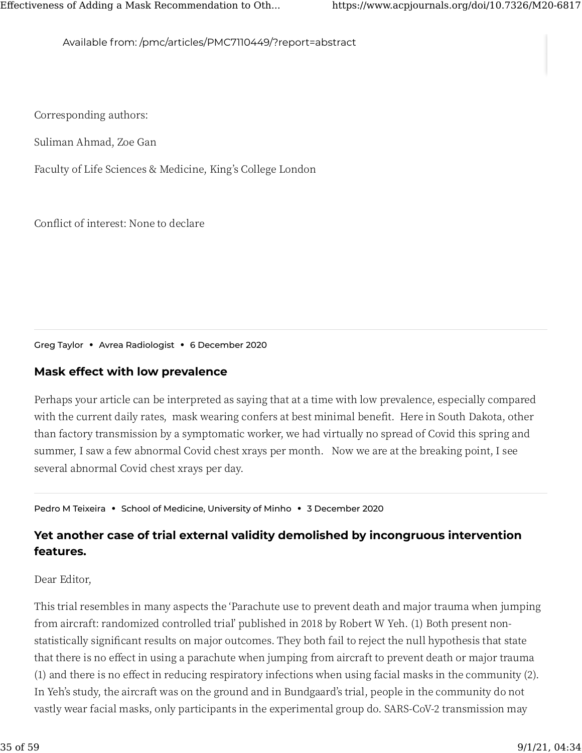Available from: /pmc/articles/PMC7110449/?report=abstract

Corresponding authors:

Suliman Ahmad, Zoe Gan

Faculty of Life Sciences & Medicine, King's College London

Conflict of interest: None to declare

Greg Taylor **•** Avrea Radiologist **•** 6 December 2020

#### **[Ma](https://www.acpjournals.org/doi/10.7326/M20-6817#)sk effect with low prevalence**

Perhaps your article can be interpreted as saying that at a time with low prevalence, especially compared with the current daily rates, mask wearing confers at best minimal benefit. Here in South Dakota, other than factory transmission by a symptomatic worker, we had virtually no spread of Covid this spring and summer, I saw a few abnormal Covid chest xrays per month. Now we are at the breaking point, I see several abnormal Covid chest xrays per day.

Pedro M Teixeira **•** School of Medicine, University of Minho **•** 3 December 2020

### **Yet another case of trial external validity demolished by incongruous intervention features.**

#### Dear Editor,

This trial resembles in many aspects the 'Parachute use to prevent death and major trauma when jumping from aircraft: randomized controlled trial' published in 2018 by Robert W Yeh. (1) Both present nonstatistically significant results on major outcomes. They both fail to reject the null hypothesis that state that there is no effect in using a parachute when jumping from aircraft to prevent death or major trauma (1) and there is no effect in reducing respiratory infections when using facial masks in the community (2). In Yeh's study, the aircraft was on the ground and in Bundgaard's trial, people in the community do not vastly wear facial masks, only participants in the experimental group do. SARS-CoV-2 transmission may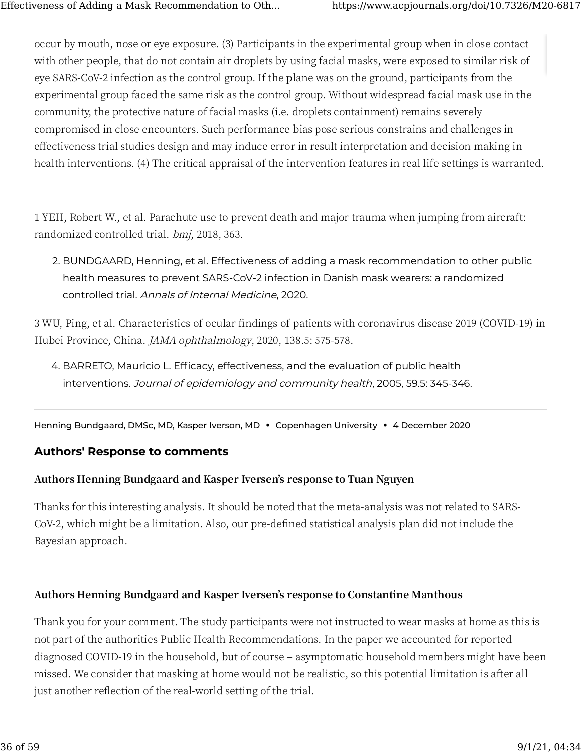[occ](https://www.acpjournals.org/doi/10.7326/M20-6817#)ur by mouth, nose or eye exposure. (�) Participants in the experimental group when in close contact with other people, that do not contain air droplets by using facial masks, were exposed to similar risk of eye SARS-CoV-2 infection as the control group. If the plane was on the ground, participants from the experimental group faced the same risk as the control group. Without widespread facial mask use in the community, the protective nature of facial masks (i.e. droplets containment) remains severely compromised in close encounters. Such performance bias pose serious constrains and challenges in effectiveness trial studies design and may induce error in result interpretation and decision making in health interventions. (4) The critical appraisal of the intervention features in real life settings is warranted.

� YEH, Robert W., et al. Parachute use to prevent death and major trauma when jumping from aircraft: randomized controlled trial. bmj, 2018, 363.

2. BUNDGAARD, Henning, et al. Effectiveness of adding a mask recommendation to other public health measures to prevent SARS-CoV-2 infection in Danish mask wearers: a randomized controlled trial. Annals of Internal Medicine, 2020.

 $3$  WU, Ping, et al. Characteristics of ocular findings of patients with coronavirus disease 2019 (COVID-19) in Hubei Province, China. *JAMA ophthalmology*, 2020, 138.5: 575-578.

4. BARRETO, Mauricio L. Efficacy, effectiveness, and the evaluation of public health interventions. Journal of epidemiology and community health, 2005, 59.5: 345-346.

Henning Bundgaard, DMSc, MD, Kasper Iverson, MD **•** Copenhagen University **•** 4 December 2020

#### **[Au](https://www.acpjournals.org/doi/10.7326/M20-6817#)thors' Response to comments**

#### **Authors Henning Bundgaard and Kasper Iversen's response to Tuan Nguyen**

Thanks for this interesting analysis. It should be noted that the meta-analysis was not related to SARS-CoV-2, which might be a limitation. Also, our pre-defined statistical analysis plan did not include the Bayesian approach.

#### **Authors Henning Bundgaard and Kasper Iversen's response to Constantine Manthous**

Thank you for your comment. The study participants were not instructed to wear masks at home as this is not part of the authorities Public Health Recommendations. In the paper we accounted for reported diagnosed COVID-19 in the household, but of course – asymptomatic household members might have been missed. We consider that masking at home would not be realistic, so this potential limitation is after all just another reflection of the real-world setting of the trial.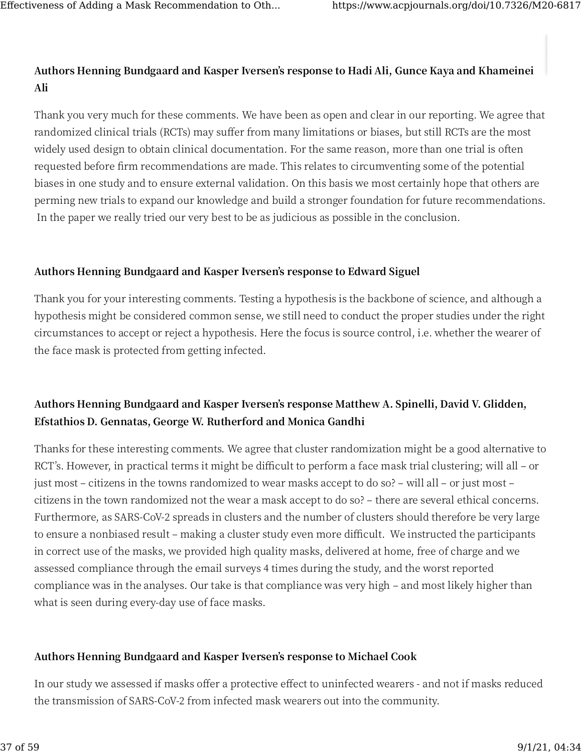### **[Au](https://www.acpjournals.org/doi/10.7326/M20-6817#)thors Henning Bundgaard and Kasper Iversen's response to Hadi Ali, Gunce Kaya and Khameinei Ali**

Thank you very much for these comments. We have been as open and clear in our reporting. We agree that randomized clinical trials (RCTs) may suffer from many limitations or biases, but still RCTs are the most widely used design to obtain clinical documentation. For the same reason, more than one trial is often requested before �rm recommendations are made. This relates to circumventing some of the potential biases in one study and to ensure external validation. On this basis we most certainly hope that others are perming new trials to expand our knowledge and build a stronger foundation for future recommendations. In the paper we really tried our very best to be as judicious as possible in the conclusion.

#### **Authors Henning Bundgaard and Kasper Iversen's response to Edward Siguel**

Thank you for your interesting comments. Testing a hypothesis is the backbone of science, and although a hypothesis might be considered common sense, we still need to conduct the proper studies under the right circumstances to accept or reject a hypothesis. Here the focus is source control, i.e. whether the wearer of the face mask is protected from getting infected.

### **Authors Henning Bundgaard and Kasper Iversen's response Matthew A. Spinelli, David V. Glidden, Efstathios D. Gennatas, George W. Rutherford and Monica Gandhi**

Thanks for these interesting comments. We agree that cluster randomization might be a good alternative to RCT's. However, in practical terms it might be difficult to perform a face mask trial clustering; will all – or just most – citizens in the towns randomized to wear masks accept to do so? – will all – or just most – citizens in the town randomized not the wear a mask accept to do so? – there are several ethical concerns. Furthermore, as SARS-CoV-2 spreads in clusters and the number of clusters should therefore be very large to ensure a nonbiased result – making a cluster study even more difficult. We instructed the participants in correct use of the masks, we provided high quality masks, delivered at home, free of charge and we assessed compliance through the email surveys 4 times during the study, and the worst reported compliance was in the analyses. Our take is that compliance was very high – and most likely higher than what is seen during every-day use of face masks.

#### **Authors Henning Bundgaard and Kasper Iversen's response to Michael Cook**

In our study we assessed if masks offer a protective effect to uninfected wearers - and not if masks reduced the transmission of SARS-CoV-2 from infected mask wearers out into the community.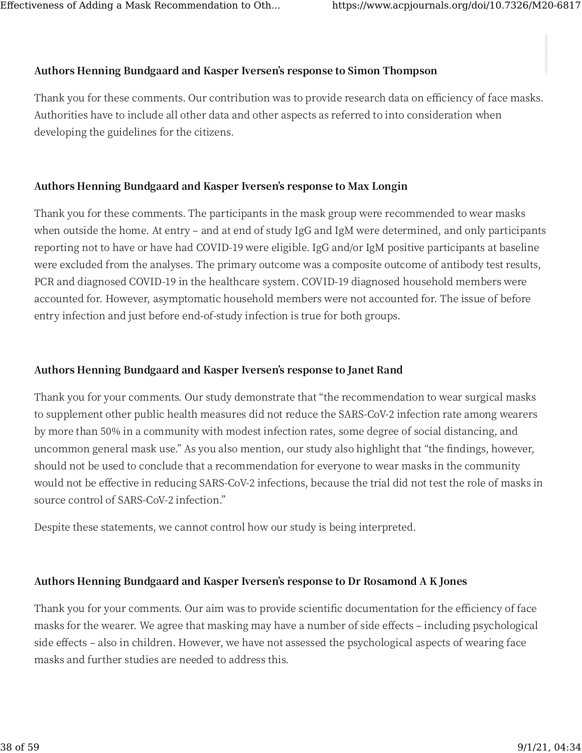#### **[Au](https://www.acpjournals.org/doi/10.7326/M20-6817#)thors Henning Bundgaard and Kasper Iversen's response to Simon Thompson**

Thank you for these comments. Our contribution was to provide research data on efficiency of face masks. Authorities have to include all other data and other aspects as referred to into consideration when developing the guidelines for the citizens.

#### **Authors Henning Bundgaard and Kasper Iversen's response to Max Longin**

Thank you for these comments. The participants in the mask group were recommended to wear masks when outside the home. At entry – and at end of study IgG and IgM were determined, and only participants reporting not to have or have had COVID-19 were eligible. IgG and/or IgM positive participants at baseline were excluded from the analyses. The primary outcome was a composite outcome of antibody test results, PCR and diagnosed COVID-19 in the healthcare system. COVID-19 diagnosed household members were accounted for. However, asymptomatic household members were not accounted for. The issue of before entry infection and just before end-of-study infection is true for both groups.

#### **Authors Henning Bundgaard and Kasper Iversen's response to Janet Rand**

Thank you for your comments. Our study demonstrate that "the recommendation to wear surgical masks to supplement other public health measures did not reduce the SARS-CoV-2 infection rate among wearers by more than 50% in a community with modest infection rates, some degree of social distancing, and uncommon general mask use." As you also mention, our study also highlight that "the findings, however, should not be used to conclude that a recommendation for everyone to wear masks in the community would not be effective in reducing SARS-CoV-2 infections, because the trial did not test the role of masks in source control of SARS-CoV-2 infection."

Despite these statements, we cannot control how our study is being interpreted.

### **Authors Henning Bundgaard and Kasper Iversen's response to Dr Rosamond A K Jones**

Thank you for your comments. Our aim was to provide scientific documentation for the efficiency of face masks for the wearer. We agree that masking may have a number of side effects - including psychological side effects – also in children. However, we have not assessed the psychological aspects of wearing face masks and further studies are needed to address this.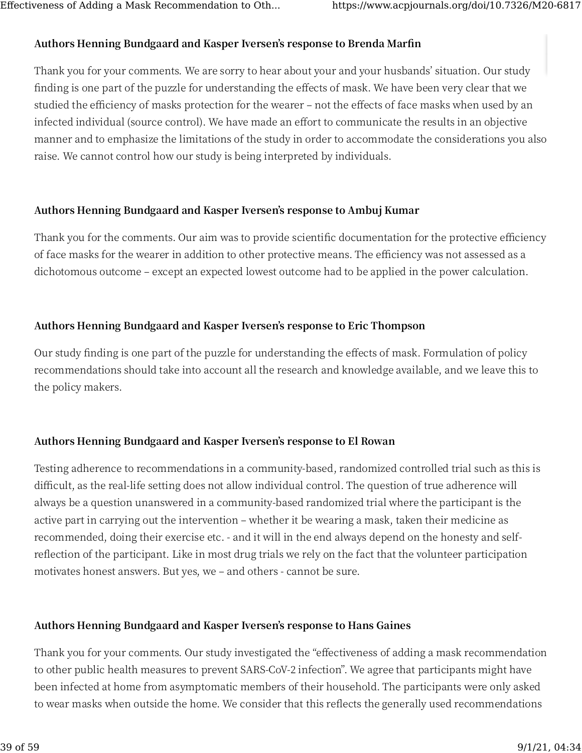#### **[Au](https://www.acpjournals.org/doi/10.7326/M20-6817#)thors Henning Bundgaard and Kasper Iversen's response to Brenda Mar�n**

Thank you for your comments. We are sorry to hear about your and your husbands' situation. Our study finding is one part of the puzzle for understanding the effects of mask. We have been very clear that we studied the efficiency of masks protection for the wearer – not the effects of face masks when used by an infected individual (source control). We have made an effort to communicate the results in an objective manner and to emphasize the limitations of the study in order to accommodate the considerations you also raise. We cannot control how our study is being interpreted by individuals.

#### **Authors Henning Bundgaard and Kasper Iversen's response to Ambuj Kumar**

Thank you for the comments. Our aim was to provide scientific documentation for the protective efficiency of face masks for the wearer in addition to other protective means. The efficiency was not assessed as a dichotomous outcome – except an expected lowest outcome had to be applied in the power calculation.

#### **Authors Henning Bundgaard and Kasper Iversen's response to Eric Thompson**

Our study finding is one part of the puzzle for understanding the effects of mask. Formulation of policy recommendations should take into account all the research and knowledge available, and we leave this to the policy makers.

#### **Authors Henning Bundgaard and Kasper Iversen's response to El Rowan**

Testing adherence to recommendations in a community-based, randomized controlled trial such as this is difficult, as the real-life setting does not allow individual control. The question of true adherence will always be a question unanswered in a community-based randomized trial where the participant is the active part in carrying out the intervention – whether it be wearing a mask, taken their medicine as recommended, doing their exercise etc. - and it will in the end always depend on the honesty and selfreflection of the participant. Like in most drug trials we rely on the fact that the volunteer participation motivates honest answers. But yes, we – and others - cannot be sure.

#### **Authors Henning Bundgaard and Kasper Iversen's response to Hans Gaines**

Thank you for your comments. Our study investigated the "effectiveness of adding a mask recommendation to other public health measures to prevent SARS-CoV-2 infection". We agree that participants might have [be](https://www.acpjournals.org/doi/10.7326/M20-6817#)en infected at home from asymptomatic members of their household. The participants were only asked to wear masks when outside the home. We consider that this reflects the generally used recommendations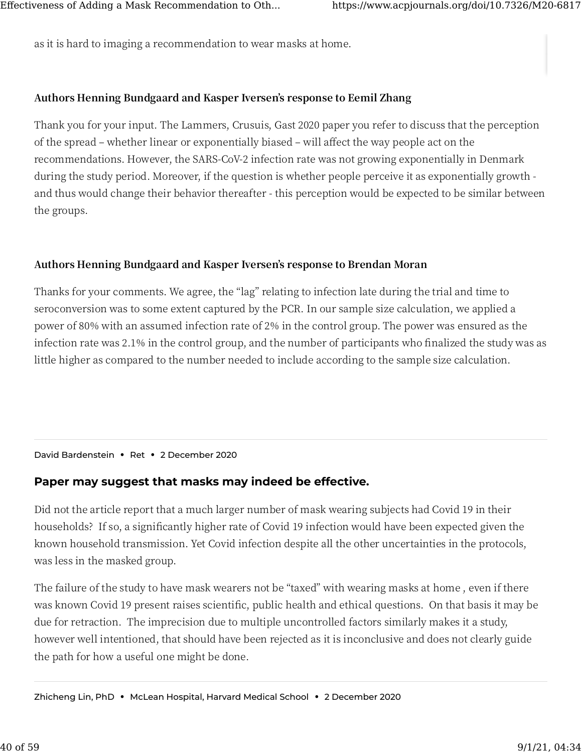[as](https://www.acpjournals.org/doi/10.7326/M20-6817#) it is hard to imaging a recommendation to wear masks at home.

#### **Authors Henning Bundgaard and Kasper Iversen's response to Eemil Zhang**

Thank you for your input. The Lammers, Crusuis, Gast 2020 paper you refer to discuss that the perception of the spread – whether linear or exponentially biased – will affect the way people act on the recommendations. However, the SARS-CoV-2 infection rate was not growing exponentially in Denmark during the study period. Moreover, if the question is whether people perceive it as exponentially growth and thus would change their behavior thereafter - this perception would be expected to be similar between the groups.

#### **Authors Henning Bundgaard and Kasper Iversen's response to Brendan Moran**

Thanks for your comments. We agree, the "lag" relating to infection late during the trial and time to seroconversion was to some extent captured by the PCR. In our sample size calculation, we applied a power of 80% with an assumed infection rate of 2% in the control group. The power was ensured as the infection rate was 2.1% in the control group, and the number of participants who finalized the study was as little higher as compared to the number needed to include according to the sample size calculation.

David Bardenstein **•** Ret **•** 2 December 2020

#### **[Pa](https://www.acpjournals.org/doi/10.7326/M20-6817#)per may suggest that masks may indeed be effective.**

Did not the article report that a much larger number of mask wearing subjects had Covid 19 in their households? If so, a significantly higher rate of Covid 19 infection would have been expected given the known household transmission. Yet Covid infection despite all the other uncertainties in the protocols, was less in the masked group.

The failure of the study to have mask wearers not be "taxed" with wearing masks at home , even if there was known Covid 19 present raises scientific, public health and ethical questions. On that basis it may be due for retraction. The imprecision due to multiple uncontrolled factors similarly makes it a study, however well intentioned, that should have been rejected as it is inconclusive and does not clearly guide the path for how a useful one might be done.

Zhicheng Lin, PhD **•** McLean Hospital, Harvard Medical School **•** 2 December 2020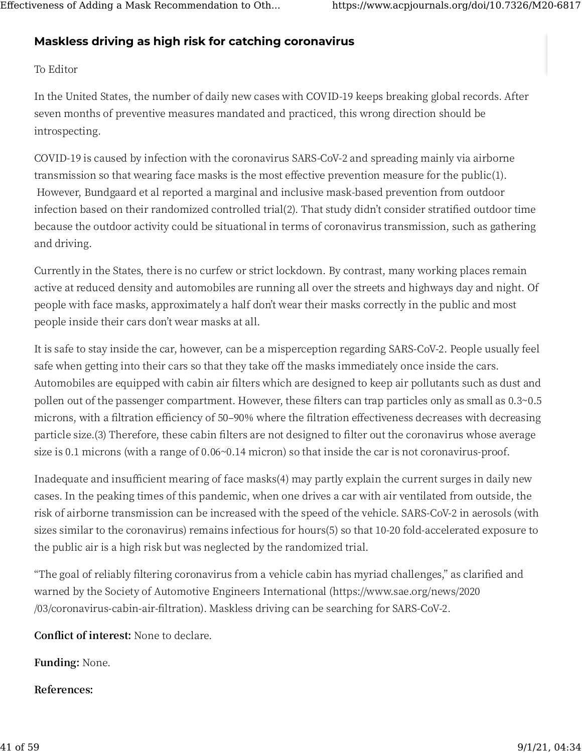### **[Ma](https://www.acpjournals.org/doi/10.7326/M20-6817#)skless driving as high risk for catching coronavirus**

#### To Editor

In the United States, the number of daily new cases with COVID-19 keeps breaking global records. After seven months of preventive measures mandated and practiced, this wrong direction should be introspecting.

COVID-19 is caused by infection with the coronavirus SARS-CoV-2 and spreading mainly via airborne transmission so that wearing face masks is the most effective prevention measure for the public $(1)$ . However, Bundgaard et al reported a marginal and inclusive mask-based prevention from outdoor infection based on their randomized controlled trial(2). That study didn't consider stratified outdoor time because the outdoor activity could be situational in terms of coronavirus transmission, such as gathering and driving.

Currently in the States, there is no curfew or strict lockdown. By contrast, many working places remain active at reduced density and automobiles are running all over the streets and highways day and night. Of people with face masks, approximately a half don't wear their masks correctly in the public and most people inside their cars don't wear masks at all.

It is safe to stay inside the car, however, can be a misperception regarding SARS-CoV-2. People usually feel safe when getting into their cars so that they take off the masks immediately once inside the cars. Automobiles are equipped with cabin air filters which are designed to keep air pollutants such as dust and pollen out of the passenger compartment. However, these filters can trap particles only as small as 0.3~0.5 microns, with a filtration efficiency of 50-90% where the filtration effectiveness decreases with decreasing particle size.(3) Therefore, these cabin filters are not designed to filter out the coronavirus whose average size is  $0.1$  microns (with a range of  $0.06~0.14$  micron) so that inside the car is not coronavirus-proof.

Inadequate and insufficient mearing of face masks(4) may partly explain the current surges in daily new cases. In the peaking times of this pandemic, when one drives a car with air ventilated from outside, the risk of airborne transmission can be increased with the speed of the vehicle. SARS-CoV-2 in aerosols (with sizes similar to the coronavirus) remains infectious for hours(5) so that 10-20 fold-accelerated exposure to the public air is a high risk but was neglected by the randomized trial.

"The goal of reliably filtering coronavirus from a vehicle cabin has myriad challenges," as clarified and warned by the Society of Automotive Engineers International (https://www.sae.org/news/2020 /03/coronavirus-cabin-air-filtration). Maskless driving can be searching for SARS-CoV-2.

**Conflict of interest:** None to declare.

**Funding:** None.

**References:**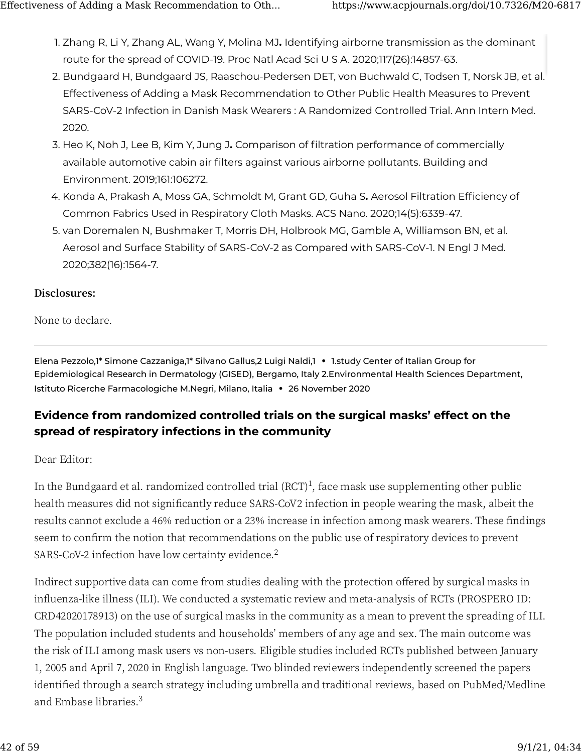- 1. Zhang R, Li Y, Zhang AL, Wang Y, Molina MJ**.** Identifying airborne transmission as the dominant route for the spread of COVID-19. Proc Natl Acad Sci U S A. 2020;117(26):14857-63.
- 2. Bundgaard H, Bundgaard JS, Raaschou-Pedersen DET, von Buchwald C, Todsen T, Norsk JB, et al. Effectiveness of Adding a Mask Recommendation to Other Public Health Measures to Prevent SARS-CoV-2 Infection in Danish Mask Wearers : A Randomized Controlled Trial. Ann Intern Med. 2020.
- 3. Heo K, Noh J, Lee B, Kim Y, Jung J**.** Comparison of filtration performance of commercially available automotive cabin air filters against various airborne pollutants. Building and Environment. 2019;161:106272.
- 4. Konda A, Prakash A, Moss GA, Schmoldt M, Grant GD, Guha S**.** Aerosol Filtration Efficiency of Common Fabrics Used in Respiratory Cloth Masks. ACS Nano. 2020;14(5):6339-47.
- 5. van Doremalen N, Bushmaker T, Morris DH, Holbrook MG, Gamble A, Williamson BN, et al. Aerosol and Surface Stability of SARS-CoV-2 as Compared with SARS-CoV-1. N Engl J Med. 2020;382(16):1564-7.

#### **Disclosures:**

None to declare.

Elena Pezzolo,1\* Simone Cazzaniga,1\* Silvano Gallus,2 Luigi Naldi,1 **•** 1.study Center of Italian Group for Epidemiological Research in Dermatology (GISED), Bergamo, Italy 2.Environmental Health Sciences Department, Istituto Ricerche Farmacologiche M.Negri, Milano, Italia **•** 26 November 2020

### **[Ev](https://www.acpjournals.org/doi/10.7326/M20-6817#)idence from randomized controlled trials on the surgical masks' effect on the spread of respiratory infections in the community**

#### Dear Editor:

In the Bundgaard et al. randomized controlled trial (RCT) $^1$ , face mask use supplementing other public health measures did not significantly reduce SARS-CoV2 infection in people wearing the mask, albeit the results cannot exclude a 46% reduction or a 23% increase in infection among mask wearers. These findings seem to confirm the notion that recommendations on the public use of respiratory devices to prevent SARS-CoV-2 infection have low certainty evidence.<sup>2</sup>

Indirect supportive data can come from studies dealing with the protection offered by surgical masks in influenza-like illness (ILI). We conducted a systematic review and meta-analysis of RCTs (PROSPERO ID: CRD42020178913) on the use of surgical masks in the community as a mean to prevent the spreading of ILI. The population included students and households' members of any age and sex. The main outcome was the risk of ILI among mask users vs non-users. Eligible studies included RCTs published between January 1, 2005 and April 7, 2020 in English language. Two blinded reviewers independently screened the papers identified through a search strategy including umbrella and traditional reviews, based on PubMed/Medline and Embase libraries.<sup>3</sup>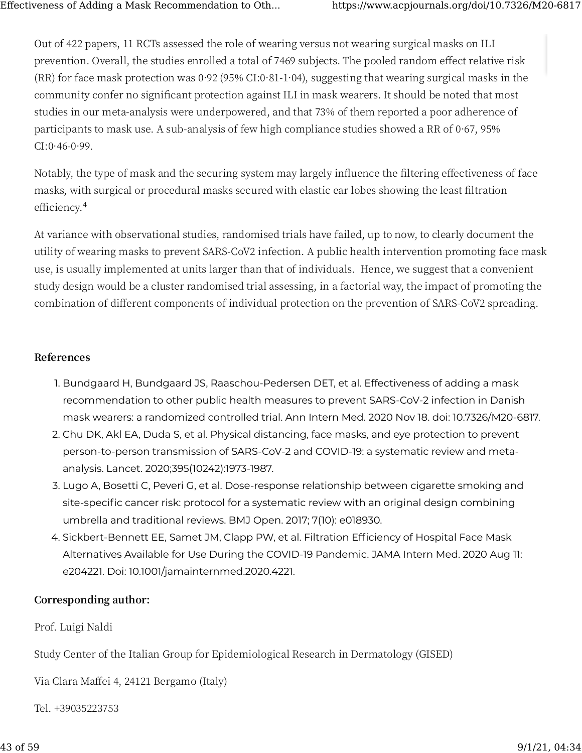[Ou](https://www.acpjournals.org/doi/10.7326/M20-6817#)t of 422 papers, 11 RCTs assessed the role of wearing versus not wearing surgical masks on ILI prevention. Overall, the studies enrolled a total of 7469 subjects. The pooled random effect relative risk (RR) for face mask protection was  $0.92$  (95% CI: $0.81$ - $1.04$ ), suggesting that wearing surgical masks in the community confer no significant protection against ILI in mask wearers. It should be noted that most studies in our meta-analysis were underpowered, and that 73% of them reported a poor adherence of participants to mask use. A sub-analysis of few high compliance studies showed a RR of  $0.67$ ,  $95\%$  $CI: 0.46 - 0.99$ .

Notably, the type of mask and the securing system may largely influence the filtering effectiveness of face masks, with surgical or procedural masks secured with elastic ear lobes showing the least filtration efficiency.<sup>4</sup>

At variance with observational studies, randomised trials have failed, up to now, to clearly document the utility of wearing masks to prevent SARS-CoV2 infection. A public health intervention promoting face mask use, is usually implemented at units larger than that of individuals. Hence, we suggest that a convenient study design would be a cluster randomised trial assessing, in a factorial way, the impact of promoting the combination of different components of individual protection on the prevention of SARS-CoV2 spreading.

#### **References**

- 1. Bundgaard H, Bundgaard JS, Raaschou-Pedersen DET, et al. Effectiveness of adding a mask recommendation to other public health measures to prevent SARS-CoV-2 infection in Danish mask wearers: a randomized controlled trial. Ann Intern Med. 2020 Nov 18. doi: 10.7326/M20-6817.
- 2. Chu DK, Akl EA, Duda S, et al. Physical distancing, face masks, and eye protection to prevent person-to-person transmission of SARS-CoV-2 and COVID-19: a systematic review and metaanalysis. Lancet. 2020;395(10242):1973-1987.
- 3. Lugo A, Bosetti C, Peveri G, et al. Dose-response relationship between cigarette smoking and site-specific cancer risk: protocol for a systematic review with an original design combining umbrella and traditional reviews. BMJ Open. 2017; 7(10): e018930.
- 4. Sickbert-Bennett EE, Samet JM, Clapp PW, et al. Filtration Efficiency of Hospital Face Mask Alternatives Available for Use During the COVID-19 Pandemic. JAMA Intern Med. 2020 Aug 11: e204221. Doi: 10.1001/jamainternmed.2020.4221.

#### **Corresponding author:**

Prof. Luigi Naldi

Study Center of the Italian Group for Epidemiological Research in Dermatology (GISED)

Via Clara Maffei 4, 24121 Bergamo (Italy)

Tel. +39035223753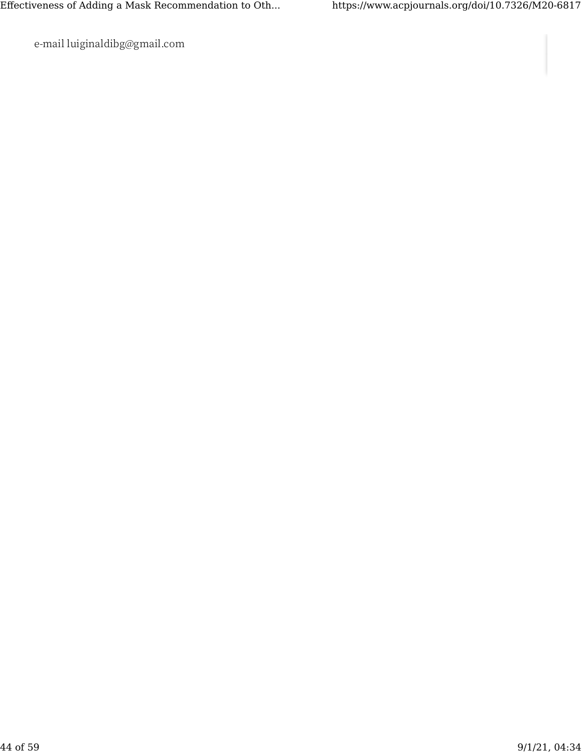e-mail luiginaldibg@gmail.com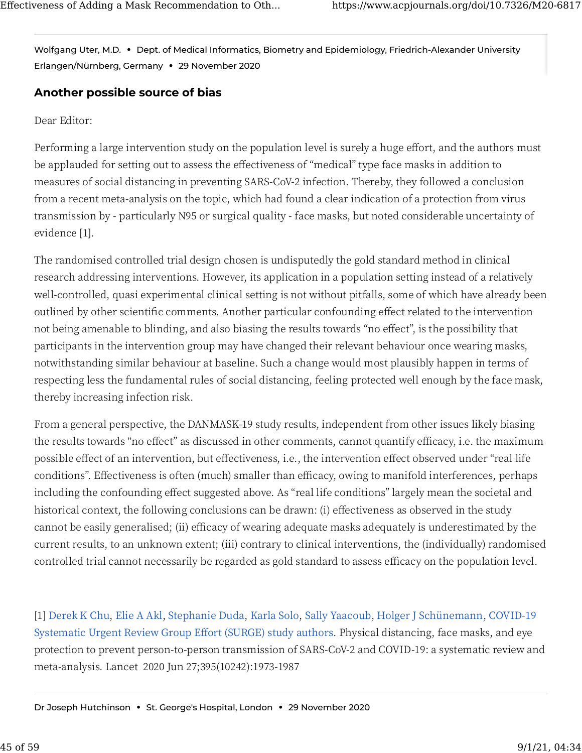[Wo](https://www.acpjournals.org/doi/10.7326/M20-6817#)lfgang Uter, M.D. **•** Dept. of Medical Informatics, Biometry and Epidemiology, Friedrich-Alexander University Erlangen/Nürnberg, Germany **•** 29 November 2020

### **[An](https://www.acpjournals.org/doi/10.7326/M20-6817#)other possible source of bias**

#### Dear Editor:

Performing a large intervention study on the population level is surely a huge effort, and the authors must be applauded for setting out to assess the effectiveness of "medical" type face masks in addition to measures of social distancing in preventing SARS-CoV-� infection. Thereby, they followed a conclusion from a recent meta-analysis on the topic, which had found a clear indication of a protection from virus transmission by - particularly N95 or surgical quality - face masks, but noted considerable uncertainty of evidence [1].

The randomised controlled trial design chosen is undisputedly the gold standard method in clinical research addressing interventions. However, its application in a population setting instead of a relatively well-controlled, quasi experimental clinical setting is not without pitfalls, some of which have already been outlined by other scientific comments. Another particular confounding effect related to the intervention not being amenable to blinding, and also biasing the results towards "no effect", is the possibility that participants in the intervention group may have changed their relevant behaviour once wearing masks, notwithstanding similar behaviour at baseline. Such a change would most plausibly happen in terms of respecting less the fundamental rules of social distancing, feeling protected well enough by the face mask, thereby increasing infection risk.

From a general perspective, the DANMASK-19 study results, independent from other issues likely biasing the results towards "no effect" as discussed in other comments, cannot quantify efficacy, i.e. the maximum possible effect of an intervention, but effectiveness, i.e., the intervention effect observed under "real life conditions". Effectiveness is often (much) smaller than efficacy, owing to manifold interferences, perhaps including the confounding effect suggested above. As "real life conditions" largely mean the societal and historical context, the following conclusions can be drawn: (i) effectiveness as observed in the study cannot be easily generalised; (ii) efficacy of wearing adequate masks adequately is underestimated by the current results, to an unknown extent; (iii) contrary to clinical interventions, the (individually) randomised controlled trial cannot necessarily be regarded as gold standard to assess efficacy on the population level.

[1] [Derek K Chu](https://pubmed.ncbi.nlm.nih.gov/?sort=date&term=Chu+DK&cauthor_id=32497510), [Elie A Akl](https://pubmed.ncbi.nlm.nih.gov/?sort=date&term=Akl+EA&cauthor_id=32497510), [Stephanie Duda](https://pubmed.ncbi.nlm.nih.gov/?sort=date&term=Duda+S&cauthor_id=32497510), [Karla Solo](https://pubmed.ncbi.nlm.nih.gov/?sort=date&term=Solo+K&cauthor_id=32497510), [Sally Yaacoub](https://pubmed.ncbi.nlm.nih.gov/?sort=date&term=Yaacoub+S&cauthor_id=32497510), [Holger J Schünemann](https://pubmed.ncbi.nlm.nih.gov/?sort=date&term=Sch%C3%BCnemann+HJ&cauthor_id=32497510), COVID-19 Systematic Urgent Review Group Effort (SURGE) study authors. Physical distancing, face masks, and eye protection to prevent person-to-person transmission of SARS-CoV-2 and COVID-19: a systematic review and meta-analysis. Lancet 2020 Jun 27;395(10242):1973-1987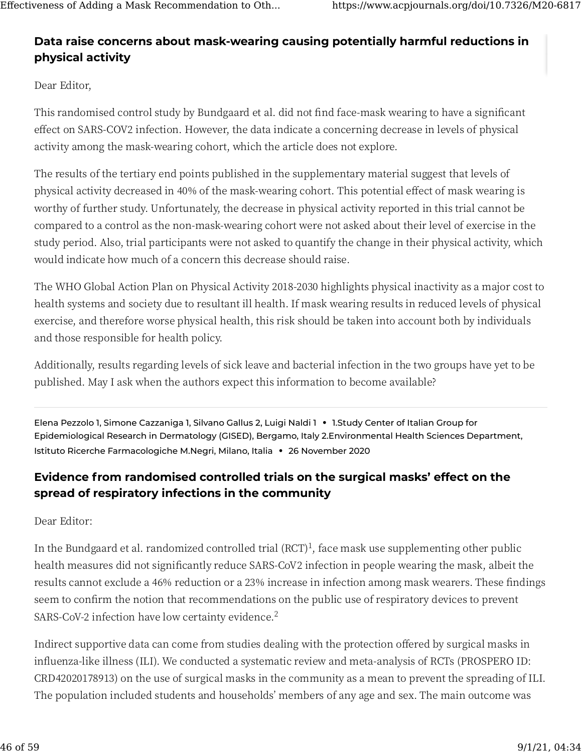### **[Da](https://www.acpjournals.org/doi/10.7326/M20-6817#)ta raise concerns about mask-wearing causing potentially harmful reductions in physical activity**

Dear Editor,

This randomised control study by Bundgaard et al. did not find face-mask wearing to have a significant effect on SARS-COV2 infection. However, the data indicate a concerning decrease in levels of physical activity among the mask-wearing cohort, which the article does not explore.

The results of the tertiary end points published in the supplementary material suggest that levels of physical activity decreased in 40% of the mask-wearing cohort. This potential effect of mask wearing is worthy of further study. Unfortunately, the decrease in physical activity reported in this trial cannot be compared to a control as the non-mask-wearing cohort were not asked about their level of exercise in the study period. Also, trial participants were not asked to quantify the change in their physical activity, which would indicate how much of a concern this decrease should raise.

The WHO Global Action Plan on Physical Activity 2018-2030 highlights physical inactivity as a major cost to health systems and society due to resultant ill health. If mask wearing results in reduced levels of physical exercise, and therefore worse physical health, this risk should be taken into account both by individuals and those responsible for health policy.

Additionally, results regarding levels of sick leave and bacterial infection in the two groups have yet to be published. May I ask when the authors expect this information to become available?

Elena Pezzolo 1, Simone Cazzaniga 1, Silvano Gallus 2, Luigi Naldi 1 **•** 1.Study Center of Italian Group for Epidemiological Research in Dermatology (GISED), Bergamo, Italy 2.Environmental Health Sciences Department, Istituto Ricerche Farmacologiche M.Negri, Milano, Italia **•** 26 November 2020

### **Evidence from randomised controlled trials on the surgical masks' effect on the spread of respiratory infections in the community**

Dear Editor:

In the Bundgaard et al. randomized controlled trial (RCT)<sup>1</sup>, face mask use supplementing other public health measures did not significantly reduce SARS-CoV2 infection in people wearing the mask, albeit the results cannot exclude a 46% reduction or a 23% increase in infection among mask wearers. These findings seem to confirm the notion that recommendations on the public use of respiratory devices to prevent SARS-CoV-2 infection have low certainty evidence.<sup>2</sup>

Indirect supportive data can come from studies dealing with the protection offered by surgical masks in influenza-like illness (ILI). We conducted a systematic review and meta-analysis of RCTs (PROSPERO ID: CRD42020178913) on the use of surgical masks in the community as a mean to prevent the spreading of ILI. The population included students and households' members of any age and sex. The main outcome was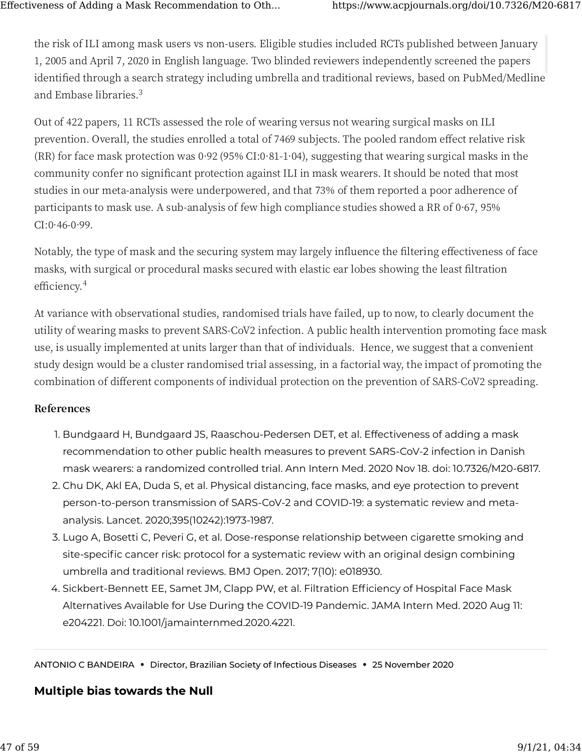[the](https://www.acpjournals.org/doi/10.7326/M20-6817#) risk of ILI among mask users vs non-users. Eligible studies included RCTs published between January 1, 2005 and April 7, 2020 in English language. Two blinded reviewers independently screened the papers identified through a search strategy including umbrella and traditional reviews, based on PubMed/Medline and Embase libraries.<sup>3</sup>

Out of 422 papers, 11 RCTs assessed the role of wearing versus not wearing surgical masks on ILI prevention. Overall, the studies enrolled a total of 7469 subjects. The pooled random effect relative risk (RR) for face mask protection was  $0.92$  (95% CI: $0.81$ - $1.04$ ), suggesting that wearing surgical masks in the community confer no significant protection against ILI in mask wearers. It should be noted that most studies in our meta-analysis were underpowered, and that 73% of them reported a poor adherence of participants to mask use. A sub-analysis of few high compliance studies showed a RR of  $0.67$ ,  $95\%$  $CI: 0.46 - 0.99$ .

Notably, the type of mask and the securing system may largely influence the filtering effectiveness of face masks, with surgical or procedural masks secured with elastic ear lobes showing the least filtration efficiency.<sup>4</sup>

At variance with observational studies, randomised trials have failed, up to now, to clearly document the utility of wearing masks to prevent SARS-CoV2 infection. A public health intervention promoting face mask use, is usually implemented at units larger than that of individuals. Hence, we suggest that a convenient study design would be a cluster randomised trial assessing, in a factorial way, the impact of promoting the combination of different components of individual protection on the prevention of SARS-CoV2 spreading.

#### **References**

- 1. Bundgaard H, Bundgaard JS, Raaschou-Pedersen DET, et al. Effectiveness of adding a mask recommendation to other public health measures to prevent SARS-CoV-2 infection in Danish mask wearers: a randomized controlled trial. Ann Intern Med. 2020 Nov 18. doi: 10.7326/M20-6817.
- 2. Chu DK, Akl EA, Duda S, et al. Physical distancing, face masks, and eye protection to prevent person-to-person transmission of SARS-CoV-2 and COVID-19: a systematic review and metaanalysis. Lancet. 2020;395(10242):1973-1987.
- 3. Lugo A, Bosetti C, Peveri G, et al. Dose-response relationship between cigarette smoking and site-specific cancer risk: protocol for a systematic review with an original design combining umbrella and traditional reviews. BMJ Open. 2017; 7(10): e018930.
- 4. Sickbert-Bennett EE, Samet JM, Clapp PW, et al. Filtration Efficiency of Hospital Face Mask Alternatives Available for Use During the COVID-19 Pandemic. JAMA Intern Med. 2020 Aug 11: e204221. Doi: 10.1001/jamainternmed.2020.4221.

ANTONIO C BANDEIRA **•** Director, Brazilian Society of Infectious Diseases **•** 25 November 2020

#### **[Mu](https://www.acpjournals.org/doi/10.7326/M20-6817#)ltiple bias towards the Null**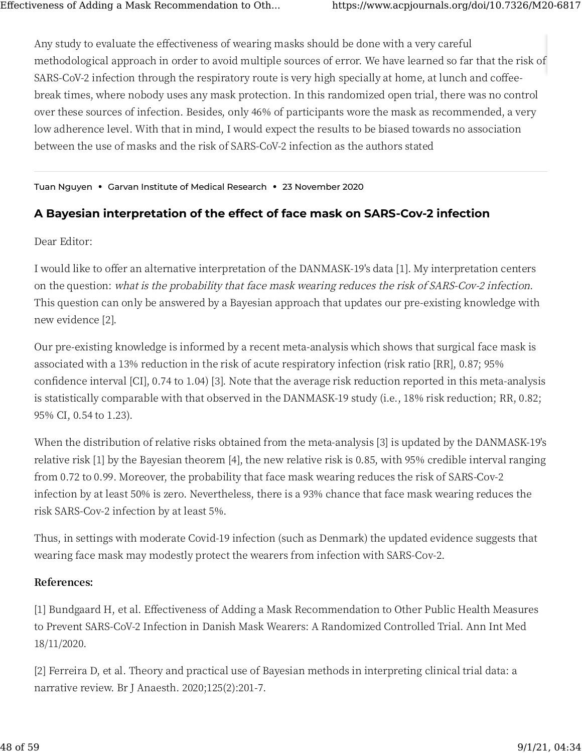Any study to evaluate the effectiveness of wearing masks should be done with a very careful methodological approach in order to avoid multiple sources of error. We have learned so far that the risk of SARS-CoV-2 infection through the respiratory route is very high specially at home, at lunch and coffeebreak times, where nobody uses any mask protection. In this randomized open trial, there was no control over these sources of infection. Besides, only 46% of participants wore the mask as recommended, a very low adherence level. With that in mind, I would expect the results to be biased towards no association between the use of masks and the risk of SARS-CoV-2 infection as the authors stated

Tuan Nguyen • Garvan Institute of Medical Research • 23 November 2020

### A Bayesian interpretation of the effect of face mask on SARS-Cov-2 infection

Dear Editor:

I would like to offer an alternative interpretation of the DANMASK-19's data [1]. My interpretation centers on the question: what is the probability that face mask wearing reduces the risk of SARS-Cov-2 infection. This question can only be answered by a Bayesian approach that updates our pre-existing knowledge with new evidence [2].

Our pre-existing knowledge is informed by a recent meta-analysis which shows that surgical face mask is associated with a 13% reduction in the risk of acute respiratory infection (risk ratio [RR], 0.87; 95% confidence interval [CI], 0.74 to 1.04) [3]. Note that the average risk reduction reported in this meta-analysis is statistically comparable with that observed in the DANMASK-19 study (i.e., 18% risk reduction; RR, 0.82; 95% CI, 0.54 to 1.23).

When the distribution of relative risks obtained from the meta-analysis [3] is updated by the DANMASK-19's relative risk [1] by the Bayesian theorem [4], the new relative risk is 0.85, with 95% credible interval ranging from 0.72 to 0.99. Moreover, the probability that face mask wearing reduces the risk of SARS-Cov-2 infection by at least 50% is zero. Nevertheless, there is a 93% chance that face mask wearing reduces the risk SARS-Cov-2 infection by at least 5%.

Thus, in settings with moderate Covid-19 infection (such as Denmark) the updated evidence suggests that wearing face mask may modestly protect the wearers from infection with SARS-Cov-2.

#### References:

[1] Bundgaard H, et al. Effectiveness of Adding a Mask Recommendation to Other Public Health Measures to Prevent SARS-CoV-2 Infection in Danish Mask Wearers: A Randomized Controlled Trial. Ann Int Med 18/11/2020.

[2] Ferreira D, et al. Theory and practical use of Bayesian methods in interpreting clinical trial data: a narrative review. Br J Anaesth. 2020;125(2):201-7.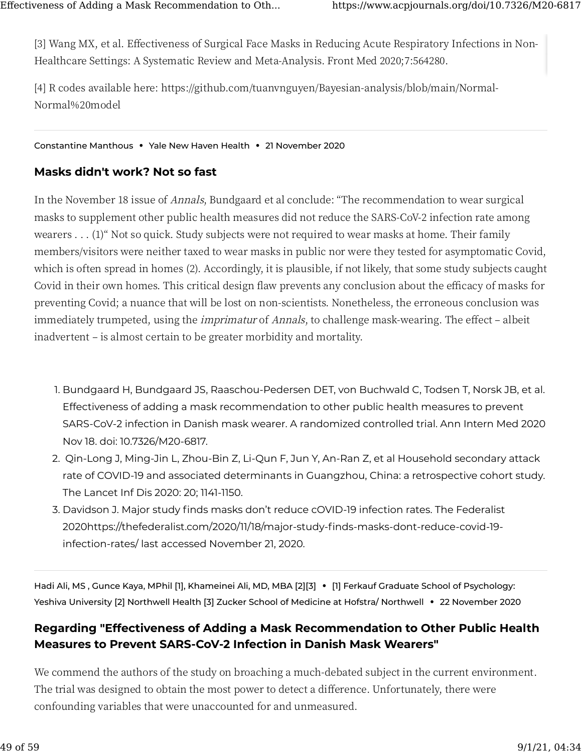[3] Wang MX, et al. Effectiveness of Surgical Face Masks in Reducing Acute Respiratory Infections in Non-Healthcare Settings: A Systematic Review and Meta-Analysis. Front Med 2020;7:564280.

[�] R codes available here: https://github.com/tuanvnguyen/Bayesian-analysis/blob/main/Normal-Normal%��model

#### Constantine Manthous **•** Yale New Haven Health **•** 21 November 2020

#### **[Ma](https://www.acpjournals.org/doi/10.7326/M20-6817#)sks didn't work? Not so fast**

In the November 18 issue of Annals, Bundgaard et al conclude: "The recommendation to wear surgical masks to supplement other public health measures did not reduce the SARS-CoV-2 infection rate among wearers . . . (1)" Not so quick. Study subjects were not required to wear masks at home. Their family members/visitors were neither taxed to wear masks in public nor were they tested for asymptomatic Covid, which is often spread in homes (2). Accordingly, it is plausible, if not likely, that some study subjects caught Covid in their own homes. This critical design flaw prevents any conclusion about the efficacy of masks for preventing Covid; a nuance that will be lost on non-scientists. Nonetheless, the erroneous conclusion was immediately trumpeted, using the *imprimatur* of *Annals*, to challenge mask-wearing. The effect – albeit inadvertent – is almost certain to be greater morbidity and mortality.

- 1. Bundgaard H, Bundgaard JS, Raaschou-Pedersen DET, von Buchwald C, Todsen T, Norsk JB, et al. Effectiveness of adding a mask recommendation to other public health measures to prevent SARS-CoV-2 infection in Danish mask wearer. A randomized controlled trial. Ann Intern Med 2020 Nov 18. doi: 10.7326/M20-6817.
- 2. Qin-Long J, Ming-Jin L, Zhou-Bin Z, Li-Qun F, Jun Y, An-Ran Z, et al Household secondary attack rate of COVID-19 and associated determinants in Guangzhou, China: a retrospective cohort study. The Lancet Inf Dis 2020: 20; 1141-1150.
- 3. Davidson J. Major study finds masks don't reduce cOVID-19 infection rates. The Federalist 2020https://thefederalist.com/2020/11/18/major-study-finds-masks-dont-reduce-covid-19 infection-rates/ last accessed November 21, 2020.

Hadi Ali, MS , Gunce Kaya, MPhil [1], Khameinei Ali, MD, MBA [2][3] **•** [1] Ferkauf Graduate School of Psychology: Yeshiva University [2] Northwell Health [3] Zucker School of Medicine at Hofstra/ Northwell **•** 22 November 2020

### **Regarding "Effectiveness of Adding a Mask Recommendation to Other Public Health Measures to Prevent SARS-CoV-2 Infection in Danish Mask Wearers"**

We commend the authors of the study on broaching a much-debated subject in the current environment. The trial was designed to obtain the most power to detect a difference. Unfortunately, there were confounding variables that were unaccounted for and unmeasured.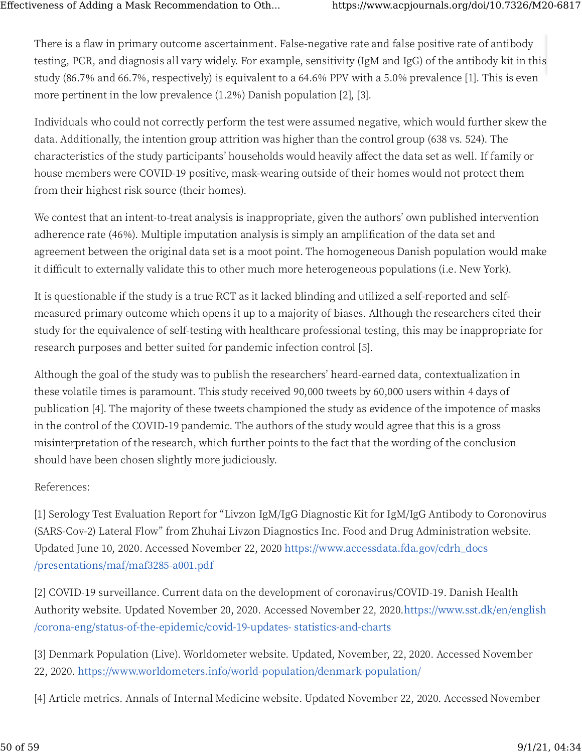There is a flaw in primary outcome ascertainment. False-negative rate and false positive rate of antibody testing, PCR, and diagnosis all vary widely. For example, sensitivity (IgM and IgG) of the antibody kit in this study (86.7% and 66.7%, respectively) is equivalent to a 64.6% PPV with a 5.0% prevalence [1]. This is even more pertinent in the low prevalence (1.2%) Danish population [2], [3].

Individuals who could not correctly perform the test were assumed negative, which would further skew the data. Additionally, the intention group attrition was higher than the control group (638 vs. 524). The characteristics of the study participants' households would heavily affect the data set as well. If family or house members were COVID-19 positive, mask-wearing outside of their homes would not protect them from their highest risk source (their homes).

We contest that an intent-to-treat analysis is inappropriate, given the authors' own published intervention adherence rate (46%). Multiple imputation analysis is simply an amplification of the data set and agreement between the original data set is a moot point. The homogeneous Danish population would make it difficult to externally validate this to other much more heterogeneous populations (i.e. New York).

It is questionable if the study is a true RCT as it lacked blinding and utilized a self-reported and selfmeasured primary outcome which opens it up to a majority of biases. Although the researchers cited their study for the equivalence of self-testing with healthcare professional testing, this may be inappropriate for research purposes and better suited for pandemic infection control [5].

Although the goal of the study was to publish the researchers' heard-earned data, contextualization in these volatile times is paramount. This study received 90,000 tweets by 60,000 users within 4 days of publication [4]. The majority of these tweets championed the study as evidence of the impotence of masks in the control of the COVID-19 pandemic. The authors of the study would agree that this is a gross misinterpretation of the research, which further points to the fact that the wording of the conclusion should have been chosen slightly more judiciously.

#### References:

[1] Serology Test Evaluation Report for "Livzon IgM/IgG Diagnostic Kit for IgM/IgG Antibody to Coronovirus (SARS-Cov-2) Lateral Flow" from Zhuhai Livzon Diagnostics Inc. Food and Drug Administration website. Updated June 10, 2020. Accessed November 22, 2020 https://www.accessdata.fda.gov/cdrh\_docs /presentations/maf/maf3285-a001.pdf

[2] COVID-19 surveillance. Current data on the development of coronavirus/COVID-19. Danish Health Authority website. Updated November 20, 2020. Accessed November 22, 2020.https://www.sst.dk/en/english /corona-eng/status-of-the-epidemic/covid-19-updates-statistics-and-charts

- [3] Denmark Population (Live). Worldometer website. Updated, November, 22, 2020. Accessed November 22, 2020. https://www.worldometers.info/world-population/denmark-population/
- [4] Article metrics. Annals of Internal Medicine website. Updated November 22, 2020. Accessed November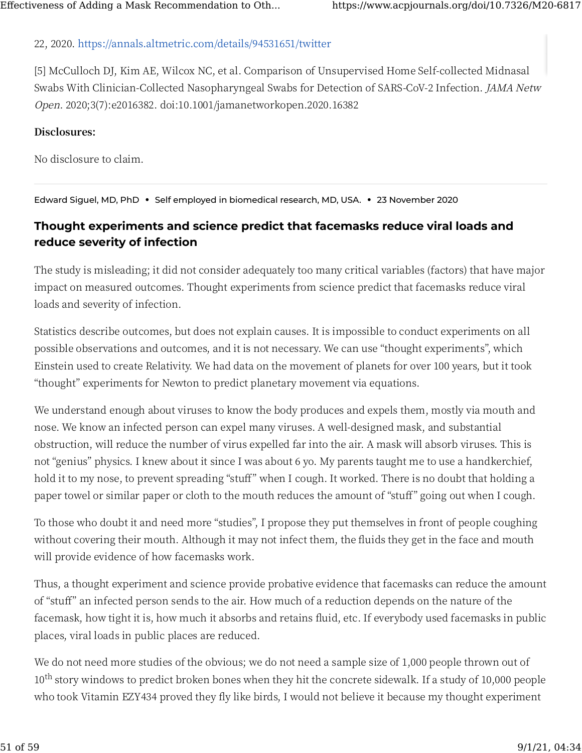#### 22, 2020. https://annals.altmetric.com/details/94531651/twitter

[�] McCulloch DJ, Kim AE, Wilcox NC, et al. Comparison of Unsupervised Home Self-collected Midnasal Swabs With Clinician-Collected Nasopharyngeal Swabs for Detection of SARS-CoV-2 Infection. *JAMA Netw* Open. 2020;3(7):e2016382. doi:10.1001/jamanetworkopen.2020.16382

#### **Disclosures:**

No disclosure to claim.

Edward Siguel, MD, PhD **•** Self employed in biomedical research, MD, USA. **•** 23 November 2020

### **[Th](https://www.acpjournals.org/doi/10.7326/M20-6817#)ought experiments and science predict that facemasks reduce viral loads and reduce severity of infection**

The study is misleading; it did not consider adequately too many critical variables (factors) that have major impact on measured outcomes. Thought experiments from science predict that facemasks reduce viral loads and severity of infection.

Statistics describe outcomes, but does not explain causes. It is impossible to conduct experiments on all possible observations and outcomes, and it is not necessary. We can use "thought experiments", which Einstein used to create Relativity. We had data on the movement of planets for over 100 years, but it took "thought" experiments for Newton to predict planetary movement via equations.

We understand enough about viruses to know the body produces and expels them, mostly via mouth and nose. We know an infected person can expel many viruses. A well-designed mask, and substantial obstruction, will reduce the number of virus expelled far into the air. A mask will absorb viruses. This is not "genius" physics. I knew about it since I was about 6 yo. My parents taught me to use a handkerchief, hold it to my nose, to prevent spreading "stuff" when I cough. It worked. There is no doubt that holding a paper towel or similar paper or cloth to the mouth reduces the amount of "stuff" going out when I cough.

To those who doubt it and need more "studies", I propose they put themselves in front of people coughing without covering their mouth. Although it may not infect them, the fluids they get in the face and mouth will provide evidence of how facemasks work.

Thus, a thought experiment and science provide probative evidence that facemasks can reduce the amount of "stu�" an infected person sends to the air. How much of a reduction depends on the nature of the facemask, how tight it is, how much it absorbs and retains fluid, etc. If everybody used facemasks in public places, viral loads in public places are reduced.

We do not need more studies of the obvious; we do not need a sample size of 1,000 people thrown out of  $10^{\text{th}}$  story windows to predict broken bones when they hit the concrete sidewalk. If a study of 10,000 people who took Vitamin EZY434 proved they fly like birds, I would not believe it because my thought experiment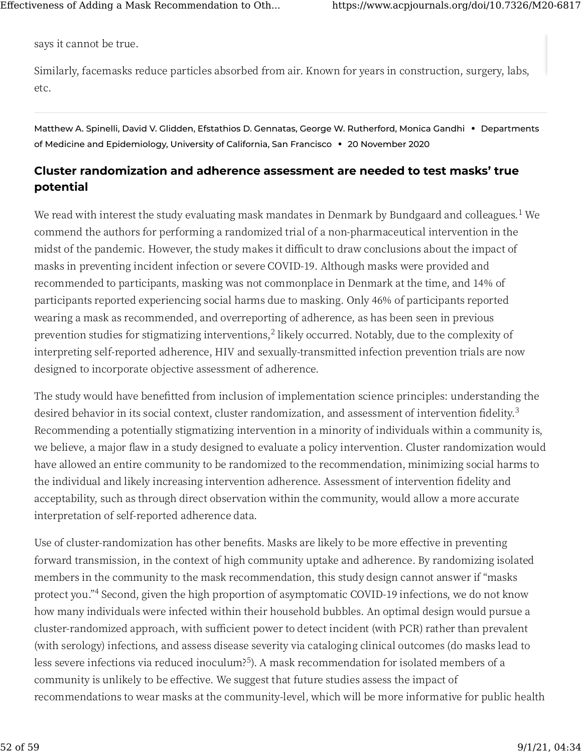[say](https://www.acpjournals.org/doi/10.7326/M20-6817#)s it cannot be true.

Similarly, facemasks reduce particles absorbed from air. Known for years in construction, surgery, labs, etc.

Matthew A. Spinelli, David V. Glidden, Efstathios D. Gennatas, George W. Rutherford, Monica Gandhi **•** Departments of Medicine and Epidemiology, University of California, San Francisco **•** 20 November 2020

### **[Cl](https://www.acpjournals.org/doi/10.7326/M20-6817#)uster randomization and adherence assessment are needed to test masks' true potential**

We read with interest the study evaluating mask mandates in Denmark by Bundgaard and colleagues. $^1$  We commend the authors for performing a randomized trial of a non-pharmaceutical intervention in the midst of the pandemic. However, the study makes it difficult to draw conclusions about the impact of masks in preventing incident infection or severe COVID-19. Although masks were provided and recommended to participants, masking was not commonplace in Denmark at the time, and 14% of participants reported experiencing social harms due to masking. Only 46% of participants reported wearing a mask as recommended, and overreporting of adherence, as has been seen in previous prevention studies for stigmatizing interventions,<sup>2</sup> likely occurred. Notably, due to the complexity of interpreting self-reported adherence, HIV and sexually-transmitted infection prevention trials are now designed to incorporate objective assessment of adherence.

The study would have bene�tted from inclusion of implementation science principles: understanding the desired behavior in its social context, cluster randomization, and assessment of intervention fidelity.<sup>3</sup> Recommending a potentially stigmatizing intervention in a minority of individuals within a community is, we believe, a major flaw in a study designed to evaluate a policy intervention. Cluster randomization would have allowed an entire community to be randomized to the recommendation, minimizing social harms to the individual and likely increasing intervention adherence. Assessment of intervention fidelity and acceptability, such as through direct observation within the community, would allow a more accurate interpretation of self-reported adherence data.

Use of cluster-randomization has other benefits. Masks are likely to be more effective in preventing forward transmission, in the context of high community uptake and adherence. By randomizing isolated members in the community to the mask recommendation, this study design cannot answer if "masks protect you."<sup>4</sup> Second, given the high proportion of asymptomatic COVID-19 infections, we do not know how many individuals were infected within their household bubbles. An optimal design would pursue a cluster-randomized approach, with sufficient power to detect incident (with PCR) rather than prevalent (with serology) infections, and assess disease severity via cataloging clinical outcomes (do masks lead to less severe infections via reduced inoculum?<sup>5</sup>). A mask recommendation for isolated members of a community is unlikely to be effective. We suggest that future studies assess the impact of recommendations to wear masks at the community-level, which will be more informative for public health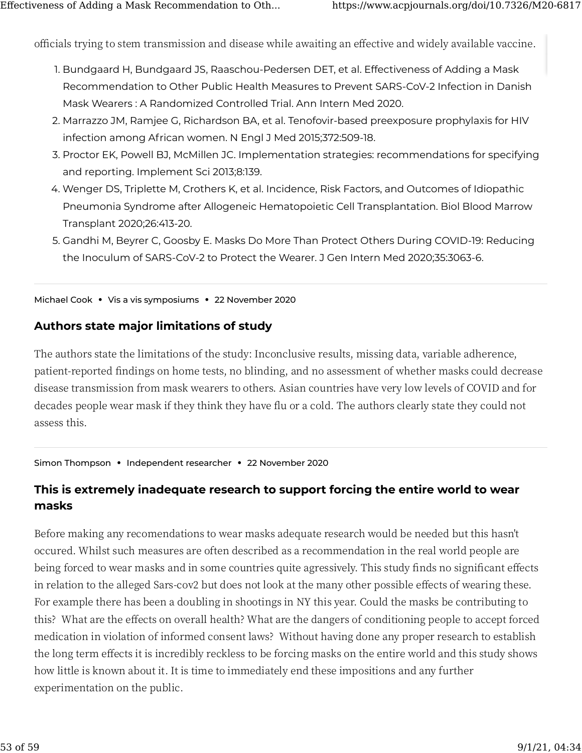officials trying to stem transmission and disease while awaiting an effective and widely available vaccine.

- 1. Bundgaard H, Bundgaard JS, Raaschou-Pedersen DET, et al. Effectiveness of Adding a Mask Recommendation to Other Public Health Measures to Prevent SARS-CoV-2 Infection in Danish Mask Wearers : A Randomized Controlled Trial. Ann Intern Med 2020.
- 2. Marrazzo JM, Ramjee G, Richardson BA, et al. Tenofovir-based preexposure prophylaxis for HIV infection among African women. N Engl J Med 2015;372:509-18.
- 3. Proctor EK, Powell BJ, McMillen JC. Implementation strategies: recommendations for specifying and reporting. Implement Sci 2013;8:139.
- 4. Wenger DS, Triplette M, Crothers K, et al. Incidence, Risk Factors, and Outcomes of Idiopathic Pneumonia Syndrome after Allogeneic Hematopoietic Cell Transplantation. Biol Blood Marrow Transplant 2020;26:413-20.
- 5. Gandhi M, Beyrer C, Goosby E. Masks Do More Than Protect Others During COVID-19: Reducing the Inoculum of SARS-CoV-2 to Protect the Wearer. J Gen Intern Med 2020;35:3063-6.

Michael Cook **•** Vis a vis symposiums **•** 22 November 2020

#### **Authors state major limitations of study**

The authors state the limitations of the study: Inconclusive results, missing data, variable adherence, patient-reported �ndings on home tests, no blinding, and no assessment of whether masks could decrease disease transmission from mask wearers to others. Asian countries have very low levels of COVID and for decades people wear mask if they think they have flu or a cold. The authors clearly state they could not assess this.

Simon Thompson **•** Independent researcher **•** 22 November 2020

### **This is extremely inadequate research to support forcing the entire world to wear [m](https://www.acpjournals.org/doi/10.7326/M20-6817#)asks**

Before making any recomendations to wear masks adequate research would be needed but this hasn't occured. Whilst such measures are often described as a recommendation in the real world people are being forced to wear masks and in some countries quite agressively. This study finds no significant effects in relation to the alleged Sars-cov2 but does not look at the many other possible effects of wearing these. For example there has been a doubling in shootings in NY this year. Could the masks be contributing to this? What are the e�ects on overall health? What are the dangers of conditioning people to accept forced medication in violation of informed consent laws? Without having done any proper research to establish the long term effects it is incredibly reckless to be forcing masks on the entire world and this study shows how little is known about it. It is time to immediately end these impositions and any further experimentation on the public.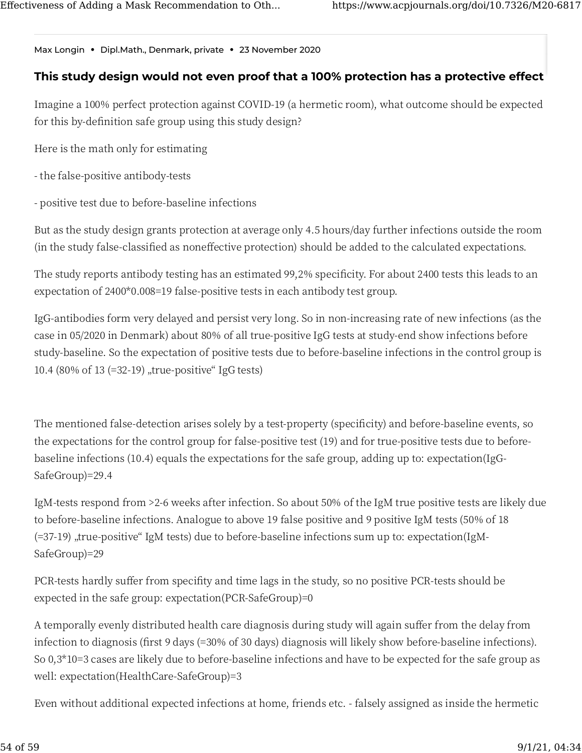Max Longin • Dipl.Math., Denmark, private • 23 November 2020

#### This study design would not even proof that a 100% protection has a protective effect

Imagine a 100% perfect protection against COVID-19 (a hermetic room), what outcome should be expected for this by-definition safe group using this study design?

Here is the math only for estimating

- the false-positive antibody-tests
- positive test due to before-baseline infections

But as the study design grants protection at average only 4.5 hours/day further infections outside the room (in the study false-classified as noneffective protection) should be added to the calculated expectations.

The study reports antibody testing has an estimated 99,2% specificity. For about 2400 tests this leads to an expectation of 2400\*0.008=19 false-positive tests in each antibody test group.

IgG-antibodies form very delayed and persist very long. So in non-increasing rate of new infections (as the case in 05/2020 in Denmark) about 80% of all true-positive IgG tests at study-end show infections before study-baseline. So the expectation of positive tests due to before-baseline infections in the control group is 10.4 (80% of 13 (=32-19), true-positive" IgG tests)

The mentioned false-detection arises solely by a test-property (specificity) and before-baseline events, so the expectations for the control group for false-positive test (19) and for true-positive tests due to beforebaseline infections (10.4) equals the expectations for the safe group, adding up to: expectation(IgG-SafeGroup)=29.4

IgM-tests respond from >2-6 weeks after infection. So about 50% of the IgM true positive tests are likely due to before-baseline infections. Analogue to above 19 false positive and 9 positive IgM tests (50% of 18 (=37-19) "true-positive" IgM tests) due to before-baseline infections sum up to: expectation(IgM-SafeGroup)=29

PCR-tests hardly suffer from specifity and time lags in the study, so no positive PCR-tests should be expected in the safe group: expectation(PCR-SafeGroup)=0

A temporally evenly distributed health care diagnosis during study will again suffer from the delay from infection to diagnosis (first 9 days (=30% of 30 days) diagnosis will likely show before-baseline infections). So 0,3\*10=3 cases are likely due to before-baseline infections and have to be expected for the safe group as well: expectation(HealthCare-SafeGroup)=3

Even without additional expected infections at home, friends etc. - falsely assigned as inside the hermetic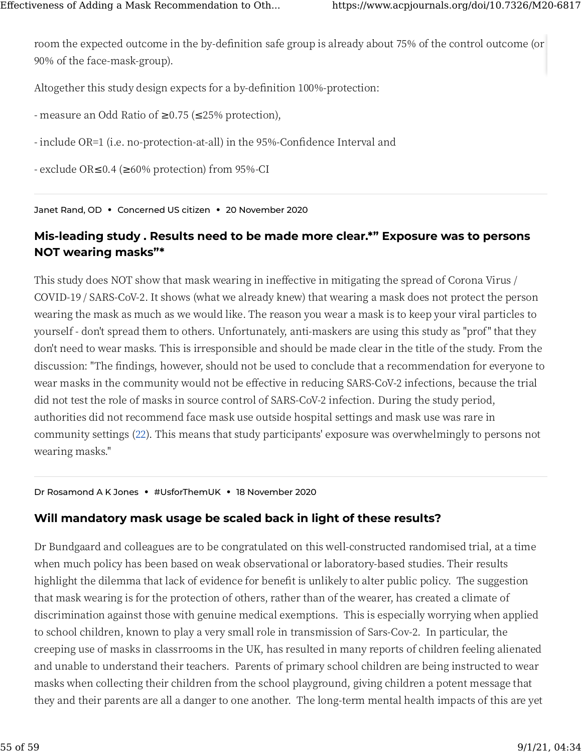[roo](https://www.acpjournals.org/doi/10.7326/M20-6817#)m the expected outcome in the by-definition safe group is already about 75% of the control outcome (or ��% of the face-mask-group).

Altogether this study design expects for a by-definition 100%-protection:

- measure an Odd Ratio of  $\geq 0.75$  ( $\leq 25\%$  protection),

- include OR=1 (i.e. no-protection-at-all) in the 95%-Confidence Interval and

- exclude OR≤�.� (≥��% protection) from ��%-CI

Janet Rand, OD **•** Concerned US citizen **•** 20 November 2020

#### **[Mi](https://www.acpjournals.org/doi/10.7326/M20-6817#)s-leading study . Results need to be made more clear.\*" Exposure was to persons NOT wearing masks"\***

This study does NOT show that mask wearing in ineffective in mitigating the spread of Corona Virus / COVID-19 / SARS-CoV-2. It shows (what we already knew) that wearing a mask does not protect the person wearing the mask as much as we would like. The reason you wear a mask is to keep your viral particles to yourself - don't spread them to others. Unfortunately, anti-maskers are using this study as "prof" that they don't need to wear masks. This is irresponsible and should be made clear in the title of the study. From the discussion: "The findings, however, should not be used to conclude that a recommendation for everyone to wear masks in the community would not be effective in reducing SARS-CoV-2 infections, because the trial did not test the role of masks in source control of SARS-CoV-2 infection. During the study period, authorities did not recommend face mask use outside hospital settings and mask use was rare in community settings (22). This means that study participants' exposure was overwhelmingly to persons not wearing masks."

Dr Rosamond A K Jones **•** #UsforThemUK **•** 18 November 2020

#### **Will mandatory mask usage be scaled back in light of these results?**

Dr Bundgaard and colleagues are to be congratulated on this well-constructed randomised trial, at a time when much policy has been based on weak observational or laboratory-based studies. Their results highlight the dilemma that lack of evidence for benefit is unlikely to alter public policy. The suggestion that mask wearing is for the protection of others, rather than of the wearer, has created a climate of discrimination against those with genuine medical exemptions. This is especially worrying when applied to school children, known to play a very small role in transmission of Sars-Cov-2. In particular, the creeping use of masks in classrrooms in the UK, has resulted in many reports of children feeling alienated and unable to understand their teachers. Parents of primary school children are being instructed to wear masks when collecting their children from the school playground, giving children a potent message that they and their parents are all a danger to one another. The long-term mental health impacts of this are yet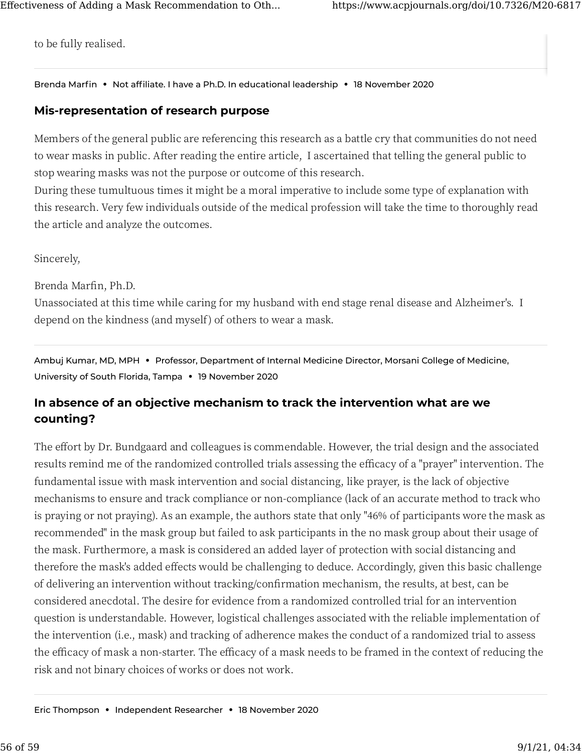[to](https://www.acpjournals.org/doi/10.7326/M20-6817#) be fully realised.

Brenda Marfin **•** Not affiliate. I have a Ph.D. In educational leadership **•** 18 November 2020

#### **[Mi](https://www.acpjournals.org/doi/10.7326/M20-6817#)s-representation of research purpose**

Members of the general public are referencing this research as a battle cry that communities do not need to wear masks in public. After reading the entire article, I ascertained that telling the general public to stop wearing masks was not the purpose or outcome of this research.

During these tumultuous times it might be a moral imperative to include some type of explanation with this research. Very few individuals outside of the medical profession will take the time to thoroughly read the article and analyze the outcomes.

Sincerely,

Brenda Marfin, Ph.D.

Unassociated at this time while caring for my husband with end stage renal disease and Alzheimer's. I depend on the kindness (and myself) of others to wear a mask.

Ambuj Kumar, MD, MPH **•** Professor, Department of Internal Medicine Director, Morsani College of Medicine, University of South Florida, Tampa **•** 19 November 2020

### **In absence of an objective mechanism to track the intervention what are we counting?**

The effort by Dr. Bundgaard and colleagues is commendable. However, the trial design and the associated results remind me of the randomized controlled trials assessing the efficacy of a "prayer" intervention. The fundamental issue with mask intervention and social distancing, like prayer, is the lack of objective mechanisms to ensure and track compliance or non-compliance (lack of an accurate method to track who is praying or not praying). As an example, the authors state that only "46% of participants wore the mask as recommended" in the mask group but failed to ask participants in the no mask group about their usage of the mask. Furthermore, a mask is considered an added layer of protection with social distancing and therefore the mask's added effects would be challenging to deduce. Accordingly, given this basic challenge of delivering an intervention without tracking/con�rmation mechanism, the results, at best, can be considered anecdotal. The desire for evidence from a randomized controlled trial for an intervention question is understandable. However, logistical challenges associated with the reliable implementation of the intervention (i.e., mask) and tracking of adherence makes the conduct of a randomized trial to assess the efficacy of mask a non-starter. The efficacy of a mask needs to be framed in the context of reducing the risk and not binary choices of works or does not work.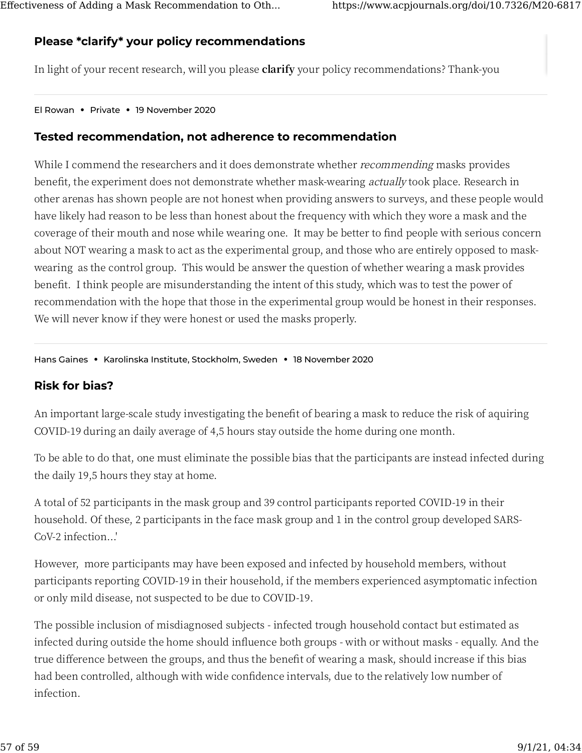### **[Pl](https://www.acpjournals.org/doi/10.7326/M20-6817#)ease \*clarify\* your policy recommendations**

In light of your recent research, will you please **clarify** your policy recommendations? Thank-you

El Rowan **•** Private **•** 19 November 2020

#### **Tested recommendation, not adherence to recommendation**

While I commend the researchers and it does demonstrate whether *recommending* masks provides benefit, the experiment does not demonstrate whether mask-wearing actually took place. Research in other arenas has shown people are not honest when providing answers to surveys, and these people would have likely had reason to be less than honest about the frequency with which they wore a mask and the coverage of their mouth and nose while wearing one. It may be better to find people with serious concern about NOT wearing a mask to act as the experimental group, and those who are entirely opposed to maskwearing as the control group. This would be answer the question of whether wearing a mask provides bene�t. I think people are misunderstanding the intent of this study, which was to test the power of recommendation with the hope that those in the experimental group would be honest in their responses. We will never know if they were honest or used the masks properly.

Hans Gaines **•** Karolinska Institute, Stockholm, Sweden **•** 18 November 2020

#### **Risk for bias?**

An important large-scale study investigating the benefit of bearing a mask to reduce the risk of aquiring COVID-�� during an daily average of �,� hours stay outside the home during one month.

To be able to do that, one must eliminate the possible bias that the participants are instead infected during the daily 19,5 hours they stay at home.

A total of 52 participants in the mask group and 39 control participants reported COVID-19 in their household. Of these, 2 participants in the face mask group and 1 in the control group developed SARS-CoV-2 infection...'

However, more participants may have been exposed and infected by household members, without participants reporting COVID-19 in their household, if the members experienced asymptomatic infection or only mild disease, not suspected to be due to COVID-19.

The possible inclusion of misdiagnosed subjects - infected trough household contact but estimated as infected during outside the home should influence both groups - with or without masks - equally. And the true difference between the groups, and thus the benefit of wearing a mask, should increase if this bias had been controlled, although with wide confidence intervals, due to the relatively low number of infection.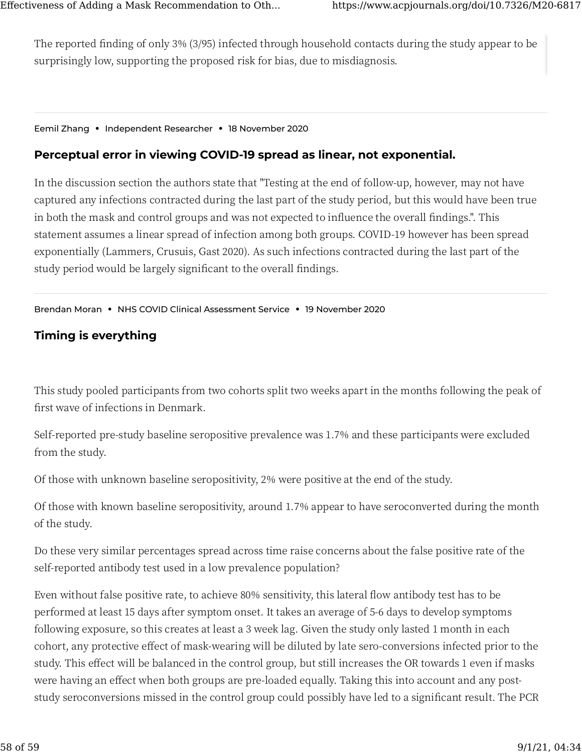[Th](https://www.acpjournals.org/doi/10.7326/M20-6817#)e reported finding of only 3% (3/95) infected through household contacts during the study appear to be surprisingly low, supporting the proposed risk for bias, due to misdiagnosis.

#### Eemil Zhang **•** Independent Researcher **•** 18 November 2020

#### **[Pe](https://www.acpjournals.org/doi/10.7326/M20-6817#)rceptual error in viewing COVID-19 spread as linear, not exponential.**

In the discussion section the authors state that "Testing at the end of follow-up, however, may not have captured any infections contracted during the last part of the study period, but this would have been true in both the mask and control groups and was not expected to influence the overall findings.". This statement assumes a linear spread of infection among both groups. COVID-19 however has been spread exponentially (Lammers, Crusuis, Gast 2020). As such infections contracted during the last part of the study period would be largely significant to the overall findings.

#### Brendan Moran **•** NHS COVID Clinical Assessment Service **•** 19 November 2020

#### **Timing is everything**

This study pooled participants from two cohorts split two weeks apart in the months following the peak of first wave of infections in Denmark.

Self-reported pre-study baseline seropositive prevalence was 1.7% and these participants were excluded from the study.

Of those with unknown baseline seropositivity, 2% were positive at the end of the study.

Of those with known baseline seropositivity, around 1.7% appear to have seroconverted during the month of the study.

Do these very similar percentages spread across time raise concerns about the false positive rate of the self-reported antibody test used in a low prevalence population?

Even without false positive rate, to achieve 80% sensitivity, this lateral flow antibody test has to be performed at least 15 days after symptom onset. It takes an average of 5-6 days to develop symptoms following exposure, so this creates at least a 3 week lag. Given the study only lasted 1 month in each cohort, any protective effect of mask-wearing will be diluted by late sero-conversions infected prior to the study. This effect will be balanced in the control group, but still increases the OR towards 1 even if masks were having an effect when both groups are pre-loaded equally. Taking this into account and any poststudy seroconversions missed in the control group could possibly have led to a significant result. The PCR